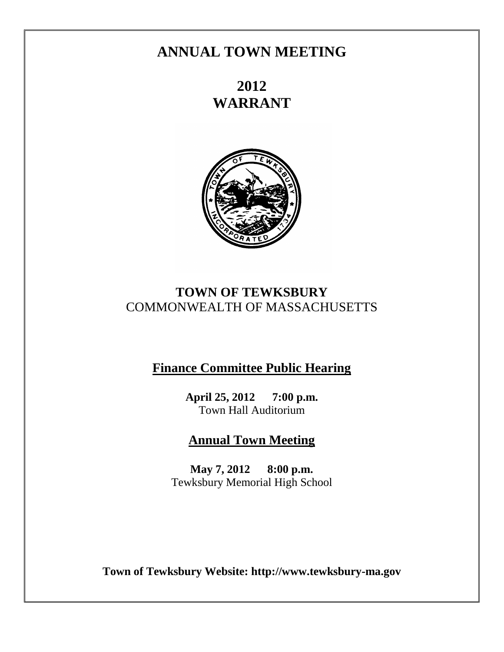# **ANNUAL TOWN MEETING**

**2012 WARRANT**



# **TOWN OF TEWKSBURY** COMMONWEALTH OF MASSACHUSETTS

# **Finance Committee Public Hearing**

**April 25, 2012 7:00 p.m.** Town Hall Auditorium

**Annual Town Meeting**

**May 7, 2012 8:00 p.m.** Tewksbury Memorial High School

**Town of Tewksbury Website: http://www.tewksbury-ma.gov**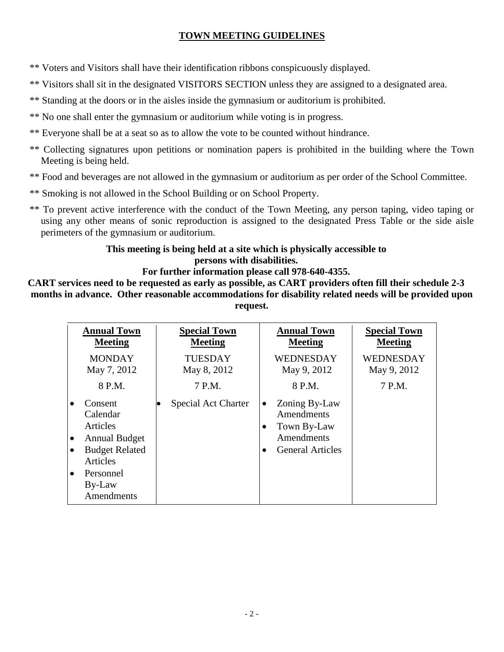# **TOWN MEETING GUIDELINES**

- \*\* Voters and Visitors shall have their identification ribbons conspicuously displayed.
- \*\* Visitors shall sit in the designated VISITORS SECTION unless they are assigned to a designated area.
- \*\* Standing at the doors or in the aisles inside the gymnasium or auditorium is prohibited.
- \*\* No one shall enter the gymnasium or auditorium while voting is in progress.
- \*\* Everyone shall be at a seat so as to allow the vote to be counted without hindrance.
- \*\* Collecting signatures upon petitions or nomination papers is prohibited in the building where the Town Meeting is being held.
- \*\* Food and beverages are not allowed in the gymnasium or auditorium as per order of the School Committee.
- \*\* Smoking is not allowed in the School Building or on School Property.
- \*\* To prevent active interference with the conduct of the Town Meeting, any person taping, video taping or using any other means of sonic reproduction is assigned to the designated Press Table or the side aisle perimeters of the gymnasium or auditorium.

# **This meeting is being held at a site which is physically accessible to persons with disabilities.**

## **For further information please call 978-640-4355.**

**CART services need to be requested as early as possible, as CART providers often fill their schedule 2-3 months in advance. Other reasonable accommodations for disability related needs will be provided upon request.**

|           | <b>Annual Town</b><br><b>Meeting</b>                                                                                              | <b>Special Town</b><br><b>Meeting</b> |           | <b>Annual Town</b><br><b>Meeting</b>                                                       | <b>Special Town</b><br><b>Meeting</b> |
|-----------|-----------------------------------------------------------------------------------------------------------------------------------|---------------------------------------|-----------|--------------------------------------------------------------------------------------------|---------------------------------------|
|           | <b>MONDAY</b><br>May 7, 2012                                                                                                      | <b>TUESDAY</b><br>May 8, 2012         |           | WEDNESDAY<br>May 9, 2012                                                                   | WEDNESDAY<br>May 9, 2012              |
|           | 8 P.M.                                                                                                                            | 7 P.M.                                |           | 8 P.M.                                                                                     | 7 P.M.                                |
| $\bullet$ | Consent<br>Calendar<br>Articles<br><b>Annual Budget</b><br><b>Budget Related</b><br>Articles<br>Personnel<br>By-Law<br>Amendments | <b>Special Act Charter</b>            | $\bullet$ | Zoning By-Law<br>Amendments<br>Town By-Law<br><b>Amendments</b><br><b>General Articles</b> |                                       |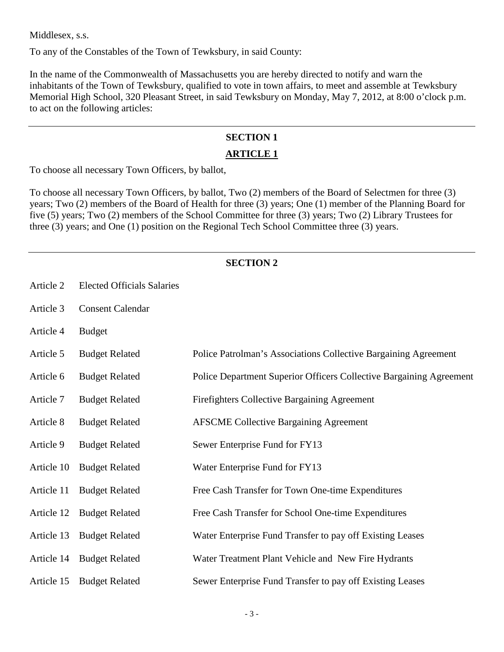Middlesex, s.s.

To any of the Constables of the Town of Tewksbury, in said County:

In the name of the Commonwealth of Massachusetts you are hereby directed to notify and warn the inhabitants of the Town of Tewksbury, qualified to vote in town affairs, to meet and assemble at Tewksbury Memorial High School, 320 Pleasant Street, in said Tewksbury on Monday, May 7, 2012, at 8:00 o'clock p.m. to act on the following articles:

# **SECTION 1**

## **ARTICLE 1**

To choose all necessary Town Officers, by ballot,

To choose all necessary Town Officers, by ballot, Two (2) members of the Board of Selectmen for three (3) years; Two (2) members of the Board of Health for three (3) years; One (1) member of the Planning Board for five (5) years; Two (2) members of the School Committee for three (3) years; Two (2) Library Trustees for three (3) years; and One (1) position on the Regional Tech School Committee three (3) years.

#### **SECTION 2**

- Article 2 Elected Officials Salaries
- Article 3 Consent Calendar
- Article 4 Budget
- Article 5 Budget Related Police Patrolman's Associations Collective Bargaining Agreement
- Article 6 Budget Related Police Department Superior Officers Collective Bargaining Agreement
- Article 7 Budget Related Firefighters Collective Bargaining Agreement
- Article 8 Budget Related AFSCME Collective Bargaining Agreement
- Article 9 Budget Related Sewer Enterprise Fund for FY13
- Article 10 Budget Related Water Enterprise Fund for FY13
- Article 11 Budget Related Free Cash Transfer for Town One-time Expenditures
- Article 12 Budget Related Free Cash Transfer for School One-time Expenditures
- Article 13 Budget Related Water Enterprise Fund Transfer to pay off Existing Leases
- Article 14 Budget Related Water Treatment Plant Vehicle and New Fire Hydrants
- Article 15 Budget Related Sewer Enterprise Fund Transfer to pay off Existing Leases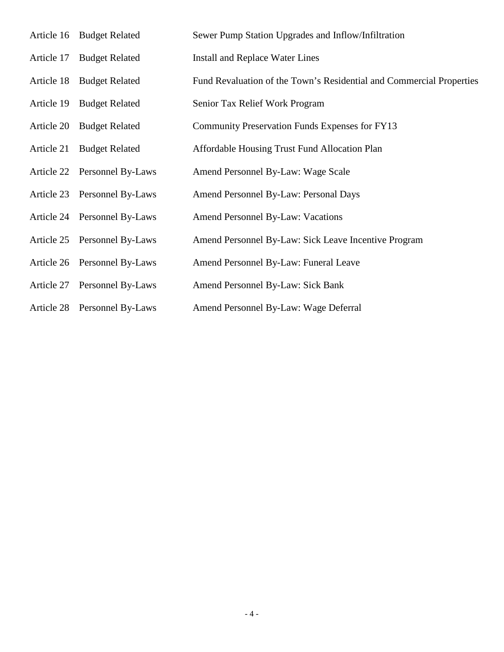Article 16 Budget Related Sewer Pump Station Upgrades and Inflow/Infiltration Article 17 Budget Related Install and Replace Water Lines Article 18 Budget Related Fund Revaluation of the Town's Residential and Commercial Properties Article 19 Budget Related Senior Tax Relief Work Program Article 20 Budget Related Community Preservation Funds Expenses for FY13 Article 21 Budget Related Affordable Housing Trust Fund Allocation Plan Article 22 Personnel By-Laws Amend Personnel By-Law: Wage Scale Article 23 Personnel By-Laws Amend Personnel By-Law: Personal Days Article 24 Personnel By-Laws Amend Personnel By-Law: Vacations Article 25 Personnel By-Laws Amend Personnel By-Law: Sick Leave Incentive Program Article 26 Personnel By-Laws Amend Personnel By-Law: Funeral Leave Article 27 Personnel By-Laws Amend Personnel By-Law: Sick Bank Article 28 Personnel By-Laws Amend Personnel By-Law: Wage Deferral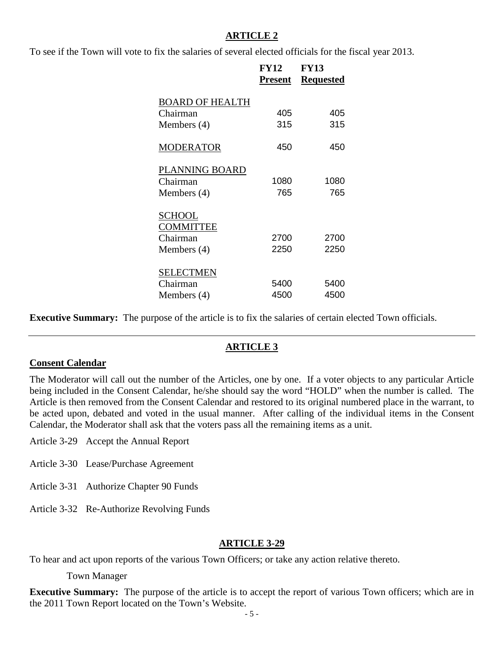To see if the Town will vote to fix the salaries of several elected officials for the fiscal year 2013.

|                        | <b>FY12</b><br>Present | <b>FY13</b><br><b>Requested</b> |
|------------------------|------------------------|---------------------------------|
| <b>BOARD OF HEALTH</b> |                        |                                 |
| Chairman               | 405                    | 405                             |
| Members $(4)$          | 315                    | 315                             |
| <b>MODERATOR</b>       | 450                    | 450                             |
| PLANNING BOARD         |                        |                                 |
| Chairman               | 1080                   | 1080                            |
| Members $(4)$          | 765                    | 765                             |
| SCHOOL                 |                        |                                 |
| COMMITTEE              |                        |                                 |
| Chairman               | 2700                   | 2700                            |
| Members $(4)$          | 2250                   | 2250                            |
| <b>SELECTMEN</b>       |                        |                                 |
| Chairman               | 5400                   | 5400                            |
| Members $(4)$          | 4500                   | 4500                            |

**Executive Summary:** The purpose of the article is to fix the salaries of certain elected Town officials.

### **ARTICLE 3**

#### **Consent Calendar**

The Moderator will call out the number of the Articles, one by one. If a voter objects to any particular Article being included in the Consent Calendar, he/she should say the word "HOLD" when the number is called. The Article is then removed from the Consent Calendar and restored to its original numbered place in the warrant, to be acted upon, debated and voted in the usual manner. After calling of the individual items in the Consent Calendar, the Moderator shall ask that the voters pass all the remaining items as a unit.

- Article 3-29 Accept the Annual Report
- Article 3-30 Lease/Purchase Agreement
- Article 3-31 Authorize Chapter 90 Funds
- Article 3-32 Re-Authorize Revolving Funds

#### **ARTICLE 3-29**

To hear and act upon reports of the various Town Officers; or take any action relative thereto.

Town Manager

**Executive Summary:** The purpose of the article is to accept the report of various Town officers; which are in the 2011 Town Report located on the Town's Website.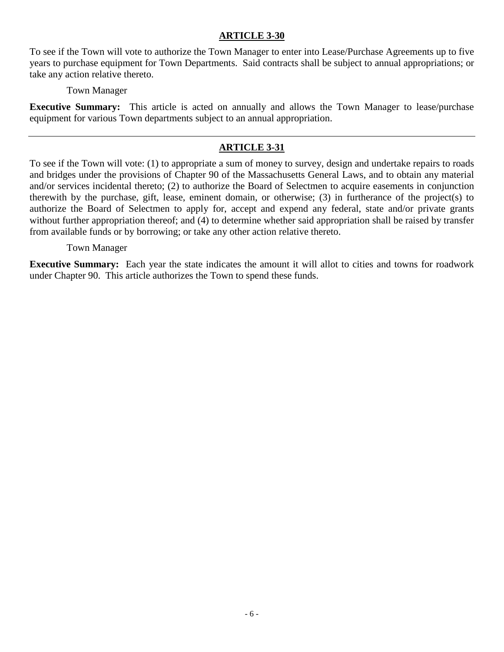#### **ARTICLE 3-30**

To see if the Town will vote to authorize the Town Manager to enter into Lease/Purchase Agreements up to five years to purchase equipment for Town Departments. Said contracts shall be subject to annual appropriations; or take any action relative thereto.

Town Manager

**Executive Summary:** This article is acted on annually and allows the Town Manager to lease/purchase equipment for various Town departments subject to an annual appropriation.

# **ARTICLE 3-31**

To see if the Town will vote: (1) to appropriate a sum of money to survey, design and undertake repairs to roads and bridges under the provisions of Chapter 90 of the Massachusetts General Laws, and to obtain any material and/or services incidental thereto; (2) to authorize the Board of Selectmen to acquire easements in conjunction therewith by the purchase, gift, lease, eminent domain, or otherwise; (3) in furtherance of the project(s) to authorize the Board of Selectmen to apply for, accept and expend any federal, state and/or private grants without further appropriation thereof; and (4) to determine whether said appropriation shall be raised by transfer from available funds or by borrowing; or take any other action relative thereto.

Town Manager

**Executive Summary:** Each year the state indicates the amount it will allot to cities and towns for roadwork under Chapter 90. This article authorizes the Town to spend these funds.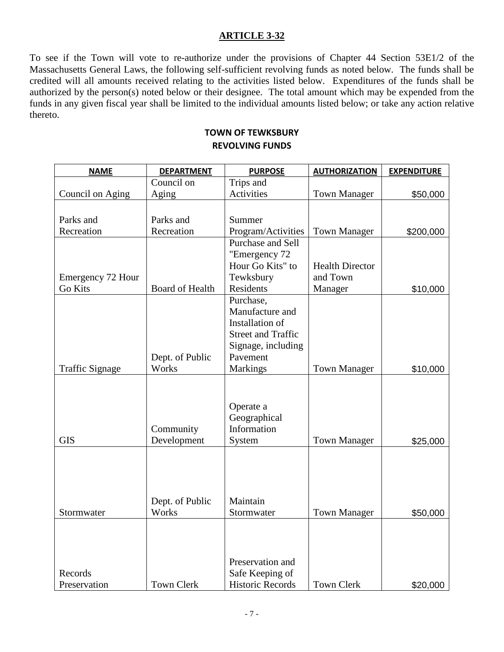## **ARTICLE 3-32**

To see if the Town will vote to re-authorize under the provisions of Chapter 44 Section 53E1/2 of the Massachusetts General Laws, the following self-sufficient revolving funds as noted below. The funds shall be credited will all amounts received relating to the activities listed below. Expenditures of the funds shall be authorized by the person(s) noted below or their designee. The total amount which may be expended from the funds in any given fiscal year shall be limited to the individual amounts listed below; or take any action relative thereto.

#### **TOWN OF TEWKSBURY REVOLVING FUNDS**

| <b>NAME</b>            | <b>DEPARTMENT</b>      | <b>PURPOSE</b>            | <b>AUTHORIZATION</b>   | <b>EXPENDITURE</b> |
|------------------------|------------------------|---------------------------|------------------------|--------------------|
|                        | Council on             | Trips and                 |                        |                    |
| Council on Aging       | Aging                  | <b>Activities</b>         | <b>Town Manager</b>    | \$50,000           |
|                        |                        |                           |                        |                    |
| Parks and              | Parks and              | Summer                    |                        |                    |
| Recreation             | Recreation             | Program/Activities        | <b>Town Manager</b>    | \$200,000          |
|                        |                        | Purchase and Sell         |                        |                    |
|                        |                        | "Emergency 72             |                        |                    |
|                        |                        | Hour Go Kits" to          | <b>Health Director</b> |                    |
| Emergency 72 Hour      |                        | Tewksbury                 | and Town               |                    |
| Go Kits                | <b>Board of Health</b> | Residents                 | Manager                | \$10,000           |
|                        |                        | Purchase,                 |                        |                    |
|                        |                        | Manufacture and           |                        |                    |
|                        |                        | Installation of           |                        |                    |
|                        |                        | <b>Street and Traffic</b> |                        |                    |
|                        |                        | Signage, including        |                        |                    |
|                        | Dept. of Public        | Pavement                  |                        |                    |
| <b>Traffic Signage</b> | Works                  | <b>Markings</b>           | <b>Town Manager</b>    | \$10,000           |
|                        |                        |                           |                        |                    |
|                        |                        |                           |                        |                    |
|                        |                        | Operate a                 |                        |                    |
|                        |                        | Geographical              |                        |                    |
|                        | Community              | Information               |                        |                    |
| <b>GIS</b>             | Development            | System                    | <b>Town Manager</b>    | \$25,000           |
|                        |                        |                           |                        |                    |
|                        |                        |                           |                        |                    |
|                        |                        |                           |                        |                    |
|                        |                        |                           |                        |                    |
|                        | Dept. of Public        | Maintain                  |                        |                    |
| Stormwater             | Works                  | Stormwater                | <b>Town Manager</b>    | \$50,000           |
|                        |                        |                           |                        |                    |
|                        |                        |                           |                        |                    |
|                        |                        |                           |                        |                    |
|                        |                        | Preservation and          |                        |                    |
| Records                |                        | Safe Keeping of           |                        |                    |
| Preservation           | <b>Town Clerk</b>      | <b>Historic Records</b>   | <b>Town Clerk</b>      | \$20,000           |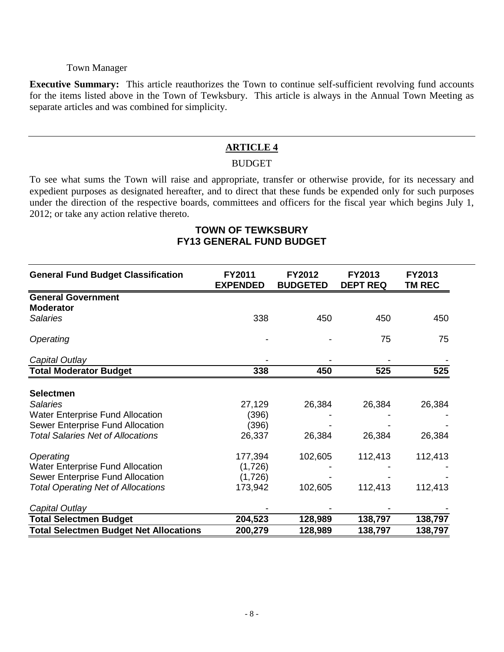#### Town Manager

**Executive Summary:** This article reauthorizes the Town to continue self-sufficient revolving fund accounts for the items listed above in the Town of Tewksbury. This article is always in the Annual Town Meeting as separate articles and was combined for simplicity.

#### **ARTICLE 4**

#### BUDGET

To see what sums the Town will raise and appropriate, transfer or otherwise provide, for its necessary and expedient purposes as designated hereafter, and to direct that these funds be expended only for such purposes under the direction of the respective boards, committees and officers for the fiscal year which begins July 1, 2012; or take any action relative thereto.

| <b>General Fund Budget Classification</b>     | FY2011<br><b>EXPENDED</b> | FY2012<br><b>BUDGETED</b> | FY2013<br><b>DEPT REQ</b> | FY2013<br><b>TM REC</b> |
|-----------------------------------------------|---------------------------|---------------------------|---------------------------|-------------------------|
| <b>General Government</b>                     |                           |                           |                           |                         |
| <b>Moderator</b>                              |                           |                           |                           |                         |
| <b>Salaries</b>                               | 338                       | 450                       | 450                       | 450                     |
| Operating                                     |                           |                           | 75                        | 75                      |
| Capital Outlay                                |                           |                           |                           |                         |
| <b>Total Moderator Budget</b>                 | 338                       | 450                       | 525                       | 525                     |
|                                               |                           |                           |                           |                         |
| <b>Selectmen</b>                              |                           |                           |                           |                         |
| <b>Salaries</b>                               | 27,129                    | 26,384                    | 26,384                    | 26,384                  |
| <b>Water Enterprise Fund Allocation</b>       | (396)                     |                           |                           |                         |
| Sewer Enterprise Fund Allocation              | (396)                     |                           |                           |                         |
| <b>Total Salaries Net of Allocations</b>      | 26,337                    | 26,384                    | 26,384                    | 26,384                  |
| Operating                                     | 177,394                   | 102,605                   | 112,413                   | 112,413                 |
| <b>Water Enterprise Fund Allocation</b>       | (1,726)                   |                           |                           |                         |
| Sewer Enterprise Fund Allocation              | (1,726)                   |                           |                           |                         |
| <b>Total Operating Net of Allocations</b>     | 173,942                   | 102,605                   | 112,413                   | 112,413                 |
| Capital Outlay                                |                           |                           |                           |                         |
| <b>Total Selectmen Budget</b>                 | 204,523                   | 128,989                   | 138,797                   | 138,797                 |
| <b>Total Selectmen Budget Net Allocations</b> | 200,279                   | 128,989                   | 138,797                   | 138,797                 |

### **TOWN OF TEWKSBURY FY13 GENERAL FUND BUDGET**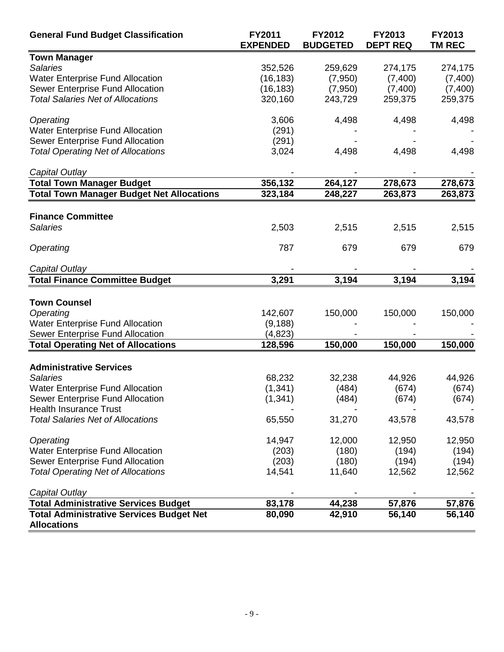| <b>General Fund Budget Classification</b>        | FY2011<br><b>EXPENDED</b> | FY2012<br><b>BUDGETED</b> | FY2013<br><b>DEPT REQ</b> | FY2013<br><b>TM REC</b> |
|--------------------------------------------------|---------------------------|---------------------------|---------------------------|-------------------------|
| <b>Town Manager</b>                              |                           |                           |                           |                         |
| <b>Salaries</b>                                  | 352,526                   | 259,629                   | 274,175                   | 274,175                 |
| <b>Water Enterprise Fund Allocation</b>          | (16, 183)                 | (7,950)                   | (7,400)                   | (7,400)                 |
| Sewer Enterprise Fund Allocation                 | (16, 183)                 | (7,950)                   | (7,400)                   | (7,400)                 |
| <b>Total Salaries Net of Allocations</b>         | 320,160                   | 243,729                   | 259,375                   | 259,375                 |
|                                                  |                           |                           |                           |                         |
| Operating                                        | 3,606                     | 4,498                     | 4,498                     | 4,498                   |
| <b>Water Enterprise Fund Allocation</b>          | (291)                     |                           |                           |                         |
| Sewer Enterprise Fund Allocation                 | (291)                     |                           |                           |                         |
| <b>Total Operating Net of Allocations</b>        | 3,024                     | 4,498                     | 4,498                     | 4,498                   |
|                                                  |                           |                           |                           |                         |
| Capital Outlay                                   |                           |                           |                           |                         |
| <b>Total Town Manager Budget</b>                 | 356,132                   | 264,127                   | 278,673                   | 278,673                 |
| <b>Total Town Manager Budget Net Allocations</b> | 323,184                   | 248,227                   | 263,873                   | 263,873                 |
|                                                  |                           |                           |                           |                         |
| <b>Finance Committee</b>                         |                           |                           |                           |                         |
| <b>Salaries</b>                                  | 2,503                     | 2,515                     | 2,515                     | 2,515                   |
|                                                  |                           |                           |                           |                         |
| Operating                                        | 787                       | 679                       | 679                       | 679                     |
| Capital Outlay                                   |                           |                           |                           |                         |
| <b>Total Finance Committee Budget</b>            | 3,291                     | 3,194                     | 3,194                     | 3,194                   |
|                                                  |                           |                           |                           |                         |
| <b>Town Counsel</b>                              |                           |                           |                           |                         |
| Operating                                        | 142,607                   | 150,000                   | 150,000                   | 150,000                 |
| <b>Water Enterprise Fund Allocation</b>          | (9, 188)                  |                           |                           |                         |
|                                                  | (4,823)                   |                           |                           |                         |
| <b>Sewer Enterprise Fund Allocation</b>          |                           |                           |                           |                         |
| <b>Total Operating Net of Allocations</b>        | 128,596                   | 150,000                   | 150,000                   | 150,000                 |
|                                                  |                           |                           |                           |                         |
| <b>Administrative Services</b>                   |                           |                           |                           |                         |
| <b>Salaries</b>                                  | 68,232                    | 32,238                    | 44,926                    | 44,926                  |
| <b>Water Enterprise Fund Allocation</b>          | (1, 341)                  | (484)                     | (674)                     | (674)                   |
| Sewer Enterprise Fund Allocation                 | (1, 341)                  | (484)                     | (674)                     | (674)                   |
| <b>Health Insurance Trust</b>                    |                           |                           |                           |                         |
| <b>Total Salaries Net of Allocations</b>         | 65,550                    | 31,270                    | 43,578                    | 43,578                  |
| Operating                                        | 14,947                    | 12,000                    | 12,950                    | 12,950                  |
|                                                  |                           |                           |                           |                         |
| <b>Water Enterprise Fund Allocation</b>          | (203)                     | (180)                     | (194)                     | (194)                   |
| Sewer Enterprise Fund Allocation                 | (203)                     | (180)                     | (194)                     | (194)                   |
| <b>Total Operating Net of Allocations</b>        | 14,541                    | 11,640                    | 12,562                    | 12,562                  |
| Capital Outlay                                   |                           |                           |                           |                         |
| <b>Total Administrative Services Budget</b>      | 83,178                    | 44,238                    | 57,876                    | 57,876                  |
| <b>Total Administrative Services Budget Net</b>  | 80,090                    | 42,910                    | 56,140                    | 56,140                  |
| <b>Allocations</b>                               |                           |                           |                           |                         |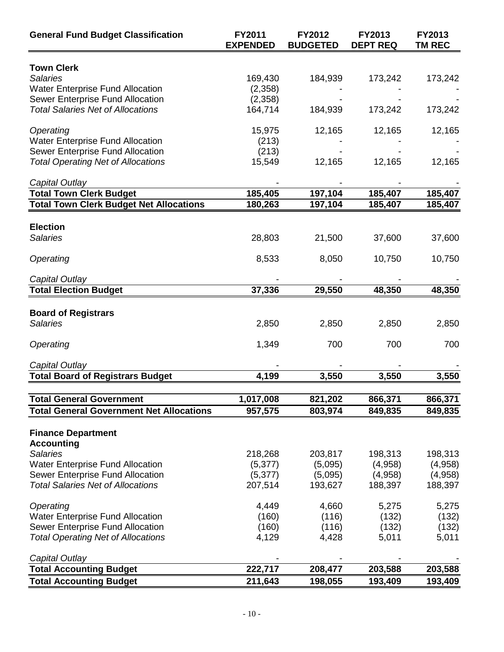| <b>General Fund Budget Classification</b>       | FY2011<br><b>EXPENDED</b> | FY2012<br><b>BUDGETED</b> | FY2013<br><b>DEPT REQ</b> | FY2013<br><b>TM REC</b> |
|-------------------------------------------------|---------------------------|---------------------------|---------------------------|-------------------------|
|                                                 |                           |                           |                           |                         |
| <b>Town Clerk</b><br><b>Salaries</b>            |                           | 184,939                   |                           |                         |
| <b>Water Enterprise Fund Allocation</b>         | 169,430<br>(2,358)        |                           | 173,242                   | 173,242                 |
| Sewer Enterprise Fund Allocation                | (2,358)                   |                           |                           |                         |
| <b>Total Salaries Net of Allocations</b>        | 164,714                   | 184,939                   | 173,242                   | 173,242                 |
|                                                 |                           |                           |                           |                         |
| Operating                                       | 15,975                    | 12,165                    | 12,165                    | 12,165                  |
| <b>Water Enterprise Fund Allocation</b>         | (213)                     |                           |                           |                         |
| Sewer Enterprise Fund Allocation                | (213)                     |                           |                           |                         |
| <b>Total Operating Net of Allocations</b>       | 15,549                    | 12,165                    | 12,165                    | 12,165                  |
|                                                 |                           |                           |                           |                         |
| Capital Outlay                                  |                           |                           |                           |                         |
| <b>Total Town Clerk Budget</b>                  | 185,405                   | 197,104                   | 185,407                   | 185,407                 |
| <b>Total Town Clerk Budget Net Allocations</b>  | 180,263                   | 197,104                   | 185,407                   | 185,407                 |
|                                                 |                           |                           |                           |                         |
| <b>Election</b>                                 |                           |                           |                           |                         |
| <b>Salaries</b>                                 | 28,803                    | 21,500                    | 37,600                    | 37,600                  |
| Operating                                       | 8,533                     | 8,050                     | 10,750                    | 10,750                  |
| Capital Outlay                                  |                           |                           |                           |                         |
| <b>Total Election Budget</b>                    | 37,336                    | 29,550                    | 48,350                    | 48,350                  |
|                                                 |                           |                           |                           |                         |
| <b>Board of Registrars</b>                      |                           |                           |                           |                         |
| <b>Salaries</b>                                 | 2,850                     | 2,850                     | 2,850                     | 2,850                   |
|                                                 |                           |                           |                           |                         |
| Operating                                       | 1,349                     | 700                       | 700                       | 700                     |
| Capital Outlay                                  |                           |                           |                           |                         |
| <b>Total Board of Registrars Budget</b>         | 4,199                     | 3,550                     | 3,550                     | 3,550                   |
|                                                 |                           |                           |                           |                         |
| <b>Total General Government</b>                 | 1,017,008                 | 821,202                   | 866,371                   | 866,371                 |
| <b>Total General Government Net Allocations</b> | 957,575                   | 803,974                   | 849,835                   | 849,835                 |
|                                                 |                           |                           |                           |                         |
| <b>Finance Department</b>                       |                           |                           |                           |                         |
| <b>Accounting</b>                               |                           |                           |                           |                         |
| <b>Salaries</b>                                 | 218,268                   | 203,817                   | 198,313                   | 198,313                 |
| <b>Water Enterprise Fund Allocation</b>         | (5, 377)                  | (5,095)                   | (4,958)                   | (4,958)                 |
| Sewer Enterprise Fund Allocation                | (5, 377)                  | (5,095)                   | (4,958)                   | (4,958)                 |
| <b>Total Salaries Net of Allocations</b>        | 207,514                   | 193,627                   | 188,397                   | 188,397                 |
| Operating                                       | 4,449                     | 4,660                     | 5,275                     | 5,275                   |
| <b>Water Enterprise Fund Allocation</b>         | (160)                     | (116)                     | (132)                     | (132)                   |
| Sewer Enterprise Fund Allocation                | (160)                     | (116)                     | (132)                     | (132)                   |
| <b>Total Operating Net of Allocations</b>       | 4,129                     | 4,428                     | 5,011                     | 5,011                   |
|                                                 |                           |                           |                           |                         |
| Capital Outlay                                  |                           |                           |                           |                         |
| <b>Total Accounting Budget</b>                  | 222,717                   | 208,477                   | 203,588                   | 203,588                 |
| <b>Total Accounting Budget</b>                  | 211,643                   | 198,055                   | 193,409                   | 193,409                 |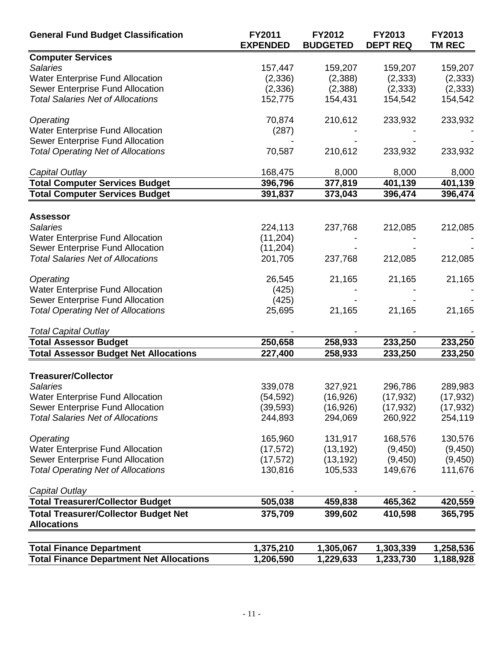| <b>General Fund Budget Classification</b>                                          | FY2011<br><b>EXPENDED</b> | FY2012<br><b>BUDGETED</b> | <b>FY2013</b><br><b>DEPT REQ</b> | <b>FY2013</b><br><b>TM REC</b> |
|------------------------------------------------------------------------------------|---------------------------|---------------------------|----------------------------------|--------------------------------|
| <b>Computer Services</b>                                                           |                           |                           |                                  |                                |
| <b>Salaries</b>                                                                    | 157,447                   | 159,207                   | 159,207                          | 159,207                        |
| <b>Water Enterprise Fund Allocation</b>                                            | (2,336)                   | (2,388)                   | (2, 333)                         | (2, 333)                       |
| Sewer Enterprise Fund Allocation                                                   | (2,336)                   | (2,388)                   | (2, 333)                         | (2, 333)                       |
| <b>Total Salaries Net of Allocations</b>                                           | 152,775                   | 154,431                   | 154,542                          | 154,542                        |
| Operating                                                                          | 70,874                    | 210,612                   | 233,932                          | 233,932                        |
| <b>Water Enterprise Fund Allocation</b>                                            | (287)                     |                           |                                  |                                |
| Sewer Enterprise Fund Allocation                                                   |                           |                           |                                  |                                |
| <b>Total Operating Net of Allocations</b>                                          | 70,587                    | 210,612                   | 233,932                          | 233,932                        |
| Capital Outlay                                                                     | 168,475                   | 8,000                     | 8,000                            | 8,000                          |
| <b>Total Computer Services Budget</b>                                              | 396,796                   | 377,819                   | 401,139                          | 401,139                        |
| <b>Total Computer Services Budget</b>                                              | 391,837                   | 373,043                   | 396,474                          | 396,474                        |
|                                                                                    |                           |                           |                                  |                                |
| <b>Assessor</b><br><b>Salaries</b>                                                 | 224,113                   | 237,768                   | 212,085                          | 212,085                        |
| <b>Water Enterprise Fund Allocation</b>                                            | (11, 204)                 |                           |                                  |                                |
| Sewer Enterprise Fund Allocation                                                   | (11, 204)                 |                           |                                  |                                |
| <b>Total Salaries Net of Allocations</b>                                           | 201,705                   | 237,768                   | 212,085                          | 212,085                        |
|                                                                                    |                           |                           |                                  |                                |
| Operating                                                                          | 26,545                    | 21,165                    | 21,165                           | 21,165                         |
| <b>Water Enterprise Fund Allocation</b>                                            | (425)                     |                           |                                  |                                |
| Sewer Enterprise Fund Allocation                                                   | (425)                     |                           |                                  |                                |
| <b>Total Operating Net of Allocations</b>                                          | 25,695                    | 21,165                    | 21,165                           | 21,165                         |
| <b>Total Capital Outlay</b>                                                        |                           |                           |                                  |                                |
| <b>Total Assessor Budget</b>                                                       | 250,658                   | 258,933                   | 233,250                          | 233,250                        |
| <b>Total Assessor Budget Net Allocations</b>                                       | 227,400                   | 258,933                   | 233,250                          | 233,250                        |
| <b>Treasurer/Collector</b>                                                         |                           |                           |                                  |                                |
| <b>Salaries</b>                                                                    | 339,078                   | 327,921                   | 296,786                          | 289,983                        |
| <b>Water Enterprise Fund Allocation</b>                                            | (54, 592)                 | (16, 926)                 | (17, 932)                        | (17, 932)                      |
| Sewer Enterprise Fund Allocation                                                   | (39, 593)                 | (16, 926)                 | (17, 932)                        | (17, 932)                      |
| <b>Total Salaries Net of Allocations</b>                                           | 244,893                   | 294,069                   | 260,922                          | 254,119                        |
| Operating                                                                          | 165,960                   | 131,917                   | 168,576                          | 130,576                        |
| <b>Water Enterprise Fund Allocation</b>                                            | (17, 572)                 | (13, 192)                 | (9, 450)                         | (9, 450)                       |
| Sewer Enterprise Fund Allocation                                                   | (17, 572)                 | (13, 192)                 | (9, 450)                         | (9, 450)                       |
| <b>Total Operating Net of Allocations</b>                                          | 130,816                   | 105,533                   | 149,676                          | 111,676                        |
| Capital Outlay                                                                     |                           |                           |                                  |                                |
| <b>Total Treasurer/Collector Budget</b>                                            | 505,038                   | 459,838                   | 465,362                          | 420,559                        |
| <b>Total Treasurer/Collector Budget Net</b><br><b>Allocations</b>                  | 375,709                   | 399,602                   | 410,598                          | 365,795                        |
|                                                                                    |                           |                           |                                  |                                |
| <b>Total Finance Department</b><br><b>Total Finance Department Net Allocations</b> | 1,375,210<br>1,206,590    | 1,305,067<br>1,229,633    | 1,303,339<br>1,233,730           | 1,258,536<br>1,188,928         |
|                                                                                    |                           |                           |                                  |                                |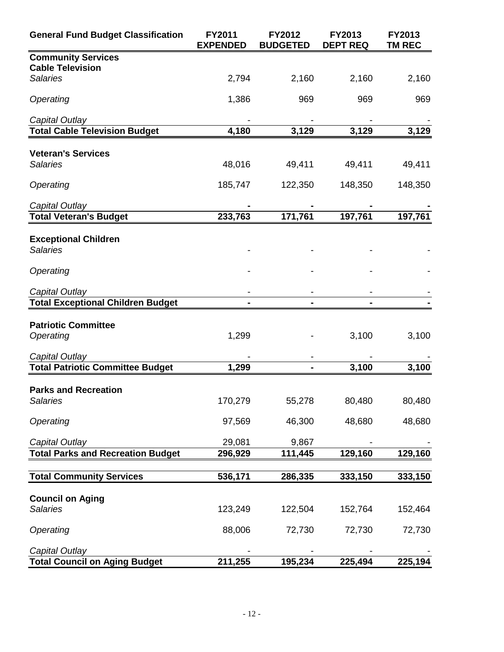| <b>General Fund Budget Classification</b>    | FY2011<br><b>EXPENDED</b> | FY2012<br><b>BUDGETED</b> | FY2013<br><b>DEPT REQ</b> | FY2013<br><b>TM REC</b> |
|----------------------------------------------|---------------------------|---------------------------|---------------------------|-------------------------|
| <b>Community Services</b>                    |                           |                           |                           |                         |
| <b>Cable Television</b>                      |                           |                           |                           |                         |
| <b>Salaries</b>                              | 2,794                     | 2,160                     | 2,160                     | 2,160                   |
| Operating                                    | 1,386                     | 969                       | 969                       | 969                     |
| Capital Outlay                               |                           |                           |                           |                         |
| <b>Total Cable Television Budget</b>         | 4,180                     | 3,129                     | 3,129                     | 3,129                   |
|                                              |                           |                           |                           |                         |
| <b>Veteran's Services</b><br><b>Salaries</b> |                           |                           |                           |                         |
|                                              | 48,016                    | 49,411                    | 49,411                    | 49,411                  |
| Operating                                    | 185,747                   | 122,350                   | 148,350                   | 148,350                 |
| Capital Outlay                               |                           |                           |                           |                         |
| <b>Total Veteran's Budget</b>                | 233,763                   | 171,761                   | 197,761                   | 197,761                 |
| <b>Exceptional Children</b>                  |                           |                           |                           |                         |
| <b>Salaries</b>                              |                           |                           |                           |                         |
|                                              |                           |                           |                           |                         |
| Operating                                    |                           |                           |                           |                         |
| Capital Outlay                               |                           |                           |                           |                         |
| <b>Total Exceptional Children Budget</b>     |                           |                           |                           |                         |
|                                              |                           |                           |                           |                         |
| <b>Patriotic Committee</b>                   |                           |                           |                           |                         |
| Operating                                    | 1,299                     |                           | 3,100                     | 3,100                   |
| Capital Outlay                               |                           |                           |                           |                         |
| <b>Total Patriotic Committee Budget</b>      | 1,299                     |                           | 3,100                     | 3,100                   |
|                                              |                           |                           |                           |                         |
| <b>Parks and Recreation</b>                  |                           |                           |                           |                         |
| <b>Salaries</b>                              | 170,279                   | 55,278                    | 80,480                    | 80,480                  |
| Operating                                    | 97,569                    | 46,300                    | 48,680                    | 48,680                  |
|                                              |                           |                           |                           |                         |
| Capital Outlay                               | 29,081                    | 9,867                     |                           |                         |
| <b>Total Parks and Recreation Budget</b>     | 296,929                   | 111,445                   | 129,160                   | 129,160                 |
|                                              |                           |                           |                           |                         |
| <b>Total Community Services</b>              | 536,171                   | 286,335                   | 333,150                   | 333,150                 |
| <b>Council on Aging</b>                      |                           |                           |                           |                         |
| <b>Salaries</b>                              | 123,249                   | 122,504                   | 152,764                   | 152,464                 |
|                                              |                           |                           |                           |                         |
| Operating                                    | 88,006                    | 72,730                    | 72,730                    | 72,730                  |
| Capital Outlay                               |                           |                           |                           |                         |
| <b>Total Council on Aging Budget</b>         | 211,255                   | 195,234                   | 225,494                   | 225,194                 |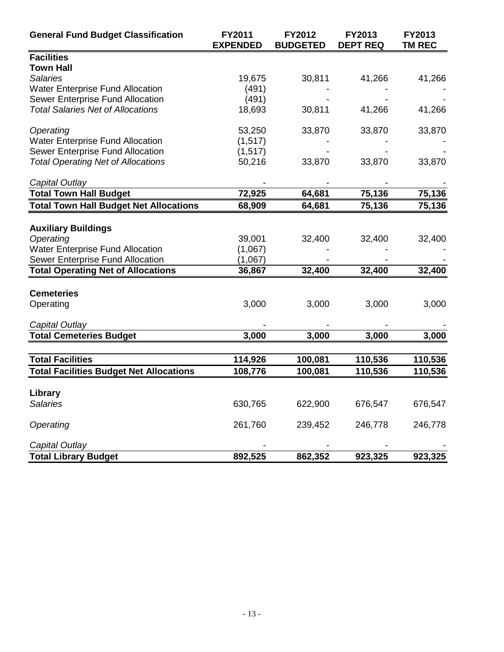| <b>General Fund Budget Classification</b>      | FY2011<br><b>EXPENDED</b> | FY2012<br><b>BUDGETED</b> | <b>FY2013</b><br><b>DEPT REQ</b> | FY2013<br><b>TM REC</b> |
|------------------------------------------------|---------------------------|---------------------------|----------------------------------|-------------------------|
| <b>Facilities</b>                              |                           |                           |                                  |                         |
| <b>Town Hall</b>                               |                           |                           |                                  |                         |
| <b>Salaries</b>                                | 19,675                    | 30,811                    | 41,266                           | 41,266                  |
| <b>Water Enterprise Fund Allocation</b>        | (491)                     |                           |                                  |                         |
| Sewer Enterprise Fund Allocation               | (491)                     |                           |                                  |                         |
| <b>Total Salaries Net of Allocations</b>       | 18,693                    | 30,811                    | 41,266                           | 41,266                  |
| Operating                                      | 53,250                    | 33,870                    | 33,870                           | 33,870                  |
| <b>Water Enterprise Fund Allocation</b>        | (1, 517)                  |                           |                                  |                         |
| Sewer Enterprise Fund Allocation               | (1, 517)                  |                           |                                  |                         |
| <b>Total Operating Net of Allocations</b>      | 50,216                    | 33,870                    | 33,870                           | 33,870                  |
| Capital Outlay                                 |                           |                           |                                  |                         |
| <b>Total Town Hall Budget</b>                  | 72,925                    | 64,681                    | 75,136                           | 75,136                  |
| <b>Total Town Hall Budget Net Allocations</b>  | 68,909                    | 64,681                    | 75,136                           | 75,136                  |
| <b>Auxiliary Buildings</b><br>Operating        | 39,001                    | 32,400                    | 32,400                           | 32,400                  |
| <b>Water Enterprise Fund Allocation</b>        | (1,067)                   |                           |                                  |                         |
| Sewer Enterprise Fund Allocation               | (1,067)                   |                           |                                  |                         |
| <b>Total Operating Net of Allocations</b>      | 36,867                    | 32,400                    | 32,400                           | 32,400                  |
| <b>Cemeteries</b>                              |                           |                           |                                  |                         |
| Operating                                      | 3,000                     | 3,000                     | 3,000                            | 3,000                   |
| Capital Outlay                                 |                           |                           |                                  |                         |
| <b>Total Cemeteries Budget</b>                 | 3,000                     | 3,000                     | 3,000                            | 3,000                   |
|                                                |                           |                           |                                  |                         |
| <b>Total Facilities</b>                        | 114,926                   | 100,081                   | 110,536                          | 110,536                 |
| <b>Total Facilities Budget Net Allocations</b> | 108,776                   | 100,081                   | 110,536                          | 110,536                 |
| Library                                        |                           |                           |                                  |                         |
| <b>Salaries</b>                                | 630,765                   | 622,900                   | 676,547                          | 676,547                 |
|                                                |                           |                           |                                  |                         |
| Operating                                      | 261,760                   | 239,452                   | 246,778                          | 246,778                 |
| Capital Outlay                                 |                           |                           |                                  |                         |
| <b>Total Library Budget</b>                    | 892,525                   | 862,352                   | 923,325                          | 923,325                 |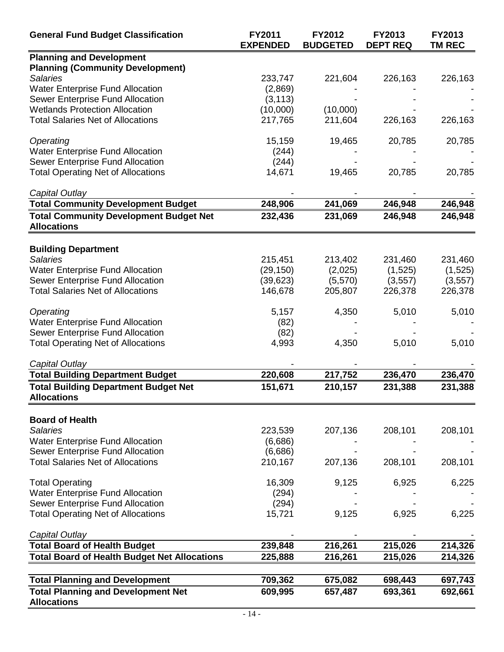| <b>General Fund Budget Classification</b>                           | FY2011<br><b>EXPENDED</b> | FY2012<br><b>BUDGETED</b> | FY2013<br><b>DEPT REQ</b> | FY2013<br><b>TM REC</b> |
|---------------------------------------------------------------------|---------------------------|---------------------------|---------------------------|-------------------------|
| <b>Planning and Development</b>                                     |                           |                           |                           |                         |
| <b>Planning (Community Development)</b>                             |                           |                           |                           |                         |
| <b>Salaries</b>                                                     | 233,747                   | 221,604                   | 226,163                   | 226,163                 |
| <b>Water Enterprise Fund Allocation</b>                             | (2,869)                   |                           |                           |                         |
| Sewer Enterprise Fund Allocation                                    | (3, 113)                  |                           |                           |                         |
| <b>Wetlands Protection Allocation</b>                               | (10,000)                  | (10,000)                  |                           |                         |
| <b>Total Salaries Net of Allocations</b>                            | 217,765                   | 211,604                   | 226,163                   | 226,163                 |
| Operating                                                           | 15,159                    | 19,465                    | 20,785                    | 20,785                  |
| <b>Water Enterprise Fund Allocation</b>                             | (244)                     |                           |                           |                         |
| Sewer Enterprise Fund Allocation                                    | (244)                     |                           |                           |                         |
| <b>Total Operating Net of Allocations</b>                           | 14,671                    | 19,465                    | 20,785                    | 20,785                  |
| Capital Outlay                                                      |                           |                           |                           |                         |
| <b>Total Community Development Budget</b>                           | 248,906                   | 241,069                   | 246,948                   | 246,948                 |
| <b>Total Community Development Budget Net</b><br><b>Allocations</b> | 232,436                   | 231,069                   | 246,948                   | 246,948                 |
| <b>Building Department</b>                                          |                           |                           |                           |                         |
| <b>Salaries</b>                                                     | 215,451                   | 213,402                   | 231,460                   | 231,460                 |
| <b>Water Enterprise Fund Allocation</b>                             | (29, 150)                 | (2,025)                   | (1,525)                   | (1,525)                 |
| Sewer Enterprise Fund Allocation                                    | (39, 623)                 | (5,570)                   | (3, 557)                  | (3, 557)                |
| <b>Total Salaries Net of Allocations</b>                            | 146,678                   | 205,807                   | 226,378                   | 226,378                 |
|                                                                     |                           |                           |                           |                         |
| Operating                                                           | 5,157                     | 4,350                     | 5,010                     | 5,010                   |
| <b>Water Enterprise Fund Allocation</b>                             | (82)                      |                           |                           |                         |
| Sewer Enterprise Fund Allocation                                    | (82)                      |                           |                           |                         |
| <b>Total Operating Net of Allocations</b>                           | 4,993                     | 4,350                     | 5,010                     | 5,010                   |
| Capital Outlay                                                      |                           |                           |                           |                         |
| <b>Total Building Department Budget</b>                             | 220,608                   | 217,752                   | 236,470                   | 236,470                 |
| <b>Total Building Department Budget Net</b><br><b>Allocations</b>   | 151,671                   | 210,157                   | 231,388                   | 231,388                 |
| <b>Board of Health</b>                                              |                           |                           |                           |                         |
| <b>Salaries</b>                                                     | 223,539                   | 207,136                   | 208,101                   | 208,101                 |
| <b>Water Enterprise Fund Allocation</b>                             | (6,686)                   |                           |                           |                         |
| Sewer Enterprise Fund Allocation                                    | (6,686)                   |                           |                           |                         |
| <b>Total Salaries Net of Allocations</b>                            | 210,167                   | 207,136                   | 208,101                   | 208,101                 |
| <b>Total Operating</b>                                              | 16,309                    | 9,125                     | 6,925                     | 6,225                   |
| <b>Water Enterprise Fund Allocation</b>                             | (294)                     |                           |                           |                         |
| Sewer Enterprise Fund Allocation                                    | (294)                     |                           |                           |                         |
| <b>Total Operating Net of Allocations</b>                           | 15,721                    | 9,125                     | 6,925                     | 6,225                   |
| Capital Outlay                                                      |                           |                           |                           |                         |
| <b>Total Board of Health Budget</b>                                 | 239,848                   | 216,261                   | 215,026                   | 214,326                 |
| <b>Total Board of Health Budget Net Allocations</b>                 | 225,888                   | 216,261                   | 215,026                   | 214,326                 |
| <b>Total Planning and Development</b>                               | 709,362                   | 675,082                   | 698,443                   | 697,743                 |
| <b>Total Planning and Development Net</b>                           | 609,995                   | 657,487                   | 693,361                   | 692,661                 |
| <b>Allocations</b>                                                  |                           |                           |                           |                         |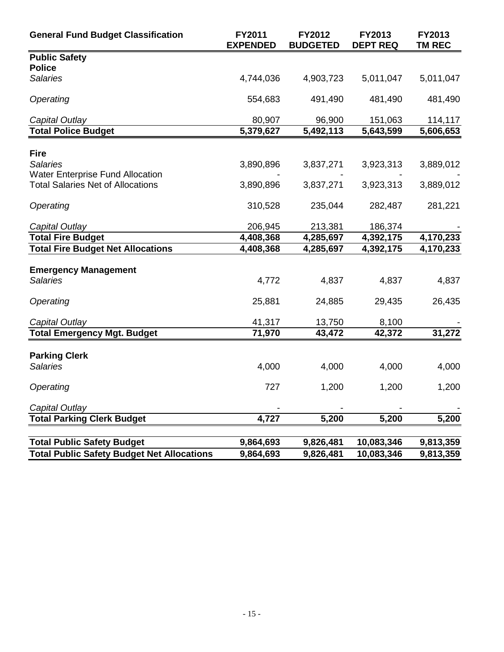| <b>General Fund Budget Classification</b>                                              | FY2011<br><b>EXPENDED</b> | FY2012<br><b>BUDGETED</b> | FY2013<br><b>DEPT REQ</b> | FY2013<br><b>TM REC</b> |
|----------------------------------------------------------------------------------------|---------------------------|---------------------------|---------------------------|-------------------------|
| <b>Public Safety</b>                                                                   |                           |                           |                           |                         |
| <b>Police</b>                                                                          |                           |                           |                           |                         |
| <b>Salaries</b>                                                                        | 4,744,036                 | 4,903,723                 | 5,011,047                 | 5,011,047               |
| Operating                                                                              | 554,683                   | 491,490                   | 481,490                   | 481,490                 |
| Capital Outlay                                                                         | 80,907                    | 96,900                    | 151,063                   | 114,117                 |
| <b>Total Police Budget</b>                                                             | 5,379,627                 | 5,492,113                 | 5,643,599                 | 5,606,653               |
|                                                                                        |                           |                           |                           |                         |
| <b>Fire</b><br><b>Salaries</b>                                                         | 3,890,896                 | 3,837,271                 | 3,923,313                 | 3,889,012               |
| <b>Water Enterprise Fund Allocation</b>                                                |                           |                           |                           |                         |
| <b>Total Salaries Net of Allocations</b>                                               | 3,890,896                 | 3,837,271                 | 3,923,313                 | 3,889,012               |
| Operating                                                                              | 310,528                   | 235,044                   | 282,487                   | 281,221                 |
| Capital Outlay                                                                         | 206,945                   | 213,381                   | 186,374                   |                         |
| <b>Total Fire Budget</b>                                                               | 4,408,368                 | 4,285,697                 | 4,392,175                 | 4,170,233               |
| <b>Total Fire Budget Net Allocations</b>                                               | 4,408,368                 | 4,285,697                 | 4,392,175                 | 4,170,233               |
| <b>Emergency Management</b>                                                            |                           |                           |                           |                         |
| <b>Salaries</b>                                                                        | 4,772                     | 4,837                     | 4,837                     | 4,837                   |
| Operating                                                                              | 25,881                    | 24,885                    | 29,435                    | 26,435                  |
| Capital Outlay                                                                         | 41,317                    | 13,750                    | 8,100                     |                         |
| <b>Total Emergency Mgt. Budget</b>                                                     | 71,970                    | 43,472                    | 42,372                    | 31,272                  |
| <b>Parking Clerk</b>                                                                   |                           |                           |                           |                         |
| <b>Salaries</b>                                                                        | 4,000                     | 4,000                     | 4,000                     | 4,000                   |
|                                                                                        |                           |                           |                           |                         |
| Operating                                                                              | 727                       | 1,200                     | 1,200                     | 1,200                   |
| Capital Outlay                                                                         |                           |                           |                           |                         |
| <b>Total Parking Clerk Budget</b>                                                      | 4,727                     | 5,200                     | 5,200                     | 5,200                   |
|                                                                                        |                           |                           |                           |                         |
| <b>Total Public Safety Budget</b><br><b>Total Public Safety Budget Net Allocations</b> | 9,864,693                 | 9,826,481                 | 10,083,346                | 9,813,359               |
|                                                                                        | 9,864,693                 | 9,826,481                 | 10,083,346                | 9,813,359               |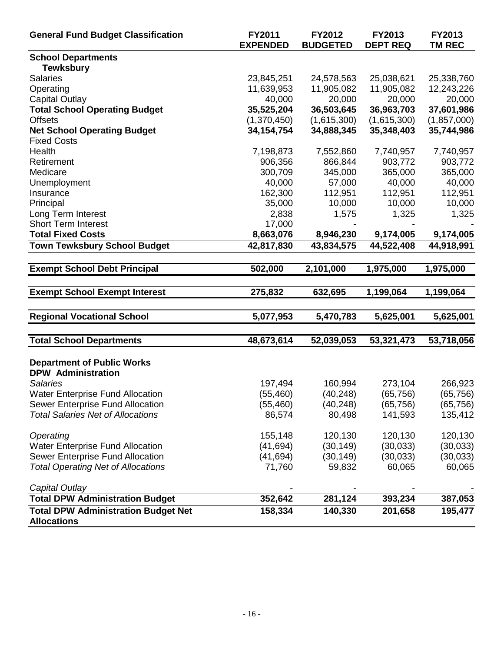| <b>General Fund Budget Classification</b>                        | <b>FY2011</b><br><b>EXPENDED</b> | <b>FY2012</b><br><b>BUDGETED</b> | FY2013<br><b>DEPT REQ</b> | FY2013<br><b>TM REC</b> |
|------------------------------------------------------------------|----------------------------------|----------------------------------|---------------------------|-------------------------|
| <b>School Departments</b>                                        |                                  |                                  |                           |                         |
| <b>Tewksbury</b>                                                 |                                  |                                  |                           |                         |
| <b>Salaries</b>                                                  | 23,845,251                       | 24,578,563                       | 25,038,621                | 25,338,760              |
| Operating                                                        | 11,639,953                       | 11,905,082                       | 11,905,082                | 12,243,226              |
| <b>Capital Outlay</b>                                            | 40,000                           | 20,000                           | 20,000                    | 20,000                  |
| <b>Total School Operating Budget</b>                             | 35,525,204                       | 36,503,645                       | 36,963,703                | 37,601,986              |
| <b>Offsets</b>                                                   | (1,370,450)                      | (1,615,300)                      | (1,615,300)               | (1,857,000)             |
| <b>Net School Operating Budget</b>                               | 34, 154, 754                     | 34,888,345                       | 35,348,403                | 35,744,986              |
| <b>Fixed Costs</b>                                               |                                  |                                  |                           |                         |
| Health                                                           | 7,198,873                        | 7,552,860                        | 7,740,957                 | 7,740,957               |
| Retirement                                                       | 906,356                          | 866,844                          | 903,772                   | 903,772                 |
| Medicare                                                         | 300,709                          | 345,000                          | 365,000                   | 365,000                 |
| Unemployment                                                     | 40,000                           | 57,000                           | 40,000                    | 40,000                  |
| Insurance                                                        | 162,300                          | 112,951                          | 112,951                   | 112,951                 |
| Principal                                                        | 35,000                           | 10,000                           | 10,000                    | 10,000                  |
| Long Term Interest                                               | 2,838                            | 1,575                            | 1,325                     | 1,325                   |
| <b>Short Term Interest</b>                                       | 17,000                           |                                  |                           |                         |
| <b>Total Fixed Costs</b>                                         | 8,663,076                        | 8,946,230                        | 9,174,005                 | 9,174,005               |
| <b>Town Tewksbury School Budget</b>                              | 42,817,830                       | 43,834,575                       | 44,522,408                | 44,918,991              |
|                                                                  |                                  |                                  |                           |                         |
| <b>Exempt School Debt Principal</b>                              | 502,000                          | 2,101,000                        | 1,975,000                 | 1,975,000               |
| <b>Exempt School Exempt Interest</b>                             | 275,832                          | 632,695                          | 1,199,064                 | 1,199,064               |
| <b>Regional Vocational School</b>                                | 5,077,953                        | 5,470,783                        | 5,625,001                 | 5,625,001               |
|                                                                  |                                  |                                  |                           |                         |
| <b>Total School Departments</b>                                  | 48,673,614                       | 52,039,053                       | 53,321,473                | 53,718,056              |
| <b>Department of Public Works</b><br><b>DPW Administration</b>   |                                  |                                  |                           |                         |
| <b>Salaries</b>                                                  | 197,494                          | 160,994                          | 273,104                   | 266,923                 |
| <b>Water Enterprise Fund Allocation</b>                          | (55, 460)                        | (40, 248)                        | (65, 756)                 | (65, 756)               |
| <b>Sewer Enterprise Fund Allocation</b>                          | (55, 460)                        | (40, 248)                        | (65, 756)                 | (65, 756)               |
| <b>Total Salaries Net of Allocations</b>                         | 86,574                           | 80,498                           | 141,593                   | 135,412                 |
| Operating                                                        | 155,148                          | 120,130                          | 120,130                   | 120,130                 |
| <b>Water Enterprise Fund Allocation</b>                          | (41, 694)                        | (30, 149)                        | (30,033)                  | (30,033)                |
| Sewer Enterprise Fund Allocation                                 | (41, 694)                        | (30, 149)                        | (30,033)                  | (30,033)                |
| <b>Total Operating Net of Allocations</b>                        | 71,760                           | 59,832                           | 60,065                    | 60,065                  |
| Capital Outlay                                                   |                                  |                                  |                           |                         |
| <b>Total DPW Administration Budget</b>                           | 352,642                          | 281,124                          | 393,234                   | 387,053                 |
| <b>Total DPW Administration Budget Net</b><br><b>Allocations</b> | 158,334                          | 140,330                          | 201,658                   | 195,477                 |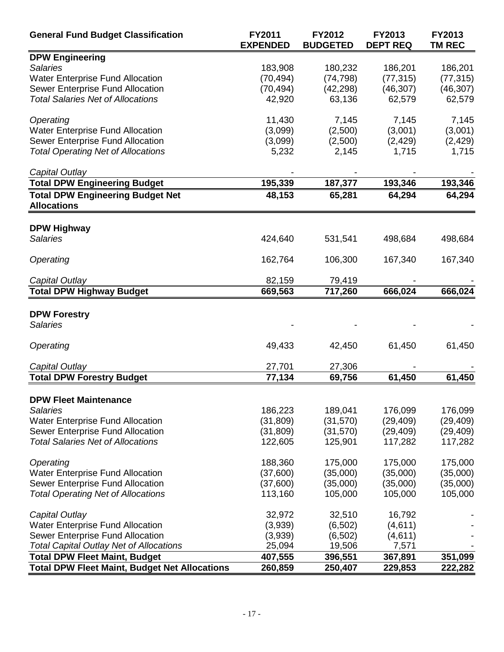| <b>General Fund Budget Classification</b>                                                    | FY2011<br><b>EXPENDED</b> | FY2012<br><b>BUDGETED</b> | FY2013<br><b>DEPT REQ</b> | <b>FY2013</b><br><b>TM REC</b> |
|----------------------------------------------------------------------------------------------|---------------------------|---------------------------|---------------------------|--------------------------------|
| <b>DPW Engineering</b>                                                                       |                           |                           |                           |                                |
| <b>Salaries</b>                                                                              | 183,908                   | 180,232                   | 186,201                   | 186,201                        |
| <b>Water Enterprise Fund Allocation</b>                                                      | (70, 494)                 | (74, 798)                 | (77, 315)                 | (77, 315)                      |
| Sewer Enterprise Fund Allocation                                                             | (70, 494)                 | (42, 298)                 | (46, 307)                 | (46, 307)                      |
| <b>Total Salaries Net of Allocations</b>                                                     | 42,920                    | 63,136                    | 62,579                    | 62,579                         |
| Operating                                                                                    | 11,430                    | 7,145                     | 7,145                     | 7,145                          |
| <b>Water Enterprise Fund Allocation</b>                                                      | (3,099)                   | (2,500)                   | (3,001)                   | (3,001)                        |
| Sewer Enterprise Fund Allocation                                                             | (3,099)                   | (2,500)                   | (2, 429)                  | (2, 429)                       |
| <b>Total Operating Net of Allocations</b>                                                    | 5,232                     | 2,145                     | 1,715                     | 1,715                          |
| Capital Outlay                                                                               |                           |                           |                           |                                |
| <b>Total DPW Engineering Budget</b>                                                          | 195,339                   | 187,377                   | 193,346                   | 193,346                        |
| <b>Total DPW Engineering Budget Net</b><br><b>Allocations</b>                                | 48,153                    | 65,281                    | 64,294                    | 64,294                         |
| <b>DPW Highway</b>                                                                           |                           |                           |                           |                                |
| <b>Salaries</b>                                                                              | 424,640                   | 531,541                   | 498,684                   | 498,684                        |
| Operating                                                                                    | 162,764                   | 106,300                   | 167,340                   | 167,340                        |
| Capital Outlay                                                                               | 82,159                    | 79,419                    |                           |                                |
| <b>Total DPW Highway Budget</b>                                                              | 669,563                   | 717,260                   | 666,024                   | 666,024                        |
| <b>DPW Forestry</b><br><b>Salaries</b>                                                       |                           |                           |                           |                                |
| Operating                                                                                    | 49,433                    | 42,450                    | 61,450                    | 61,450                         |
|                                                                                              |                           | 27,306                    |                           |                                |
| Capital Outlay<br><b>Total DPW Forestry Budget</b>                                           | 27,701<br>77,134          | 69,756                    | 61,450                    | 61,450                         |
|                                                                                              |                           |                           |                           |                                |
| <b>DPW Fleet Maintenance</b>                                                                 |                           |                           |                           |                                |
| <b>Salaries</b>                                                                              | 186,223                   | 189,041                   | 176,099                   | 176,099                        |
| <b>Water Enterprise Fund Allocation</b>                                                      | (31, 809)                 | (31, 570)                 | (29, 409)                 | (29, 409)                      |
| Sewer Enterprise Fund Allocation                                                             | (31, 809)                 | (31, 570)                 | (29, 409)                 | (29, 409)                      |
| <b>Total Salaries Net of Allocations</b>                                                     | 122,605                   | 125,901                   | 117,282                   | 117,282                        |
| Operating                                                                                    | 188,360                   | 175,000                   | 175,000                   | 175,000                        |
| <b>Water Enterprise Fund Allocation</b>                                                      | (37,600)                  | (35,000)                  | (35,000)                  | (35,000)                       |
| <b>Sewer Enterprise Fund Allocation</b>                                                      | (37,600)                  | (35,000)                  | (35,000)                  | (35,000)                       |
| <b>Total Operating Net of Allocations</b>                                                    | 113,160                   | 105,000                   | 105,000                   | 105,000                        |
| Capital Outlay                                                                               | 32,972                    | 32,510                    | 16,792                    |                                |
| <b>Water Enterprise Fund Allocation</b>                                                      | (3,939)                   | (6, 502)                  | (4,611)                   |                                |
| Sewer Enterprise Fund Allocation                                                             | (3,939)                   | (6, 502)                  | (4, 611)                  |                                |
| <b>Total Capital Outlay Net of Allocations</b>                                               | 25,094                    | 19,506                    | 7,571                     |                                |
| <b>Total DPW Fleet Maint, Budget</b><br><b>Total DPW Fleet Maint, Budget Net Allocations</b> | 407,555<br>260,859        | 396,551<br>250,407        | 367,891<br>229,853        | 351,099<br>222,282             |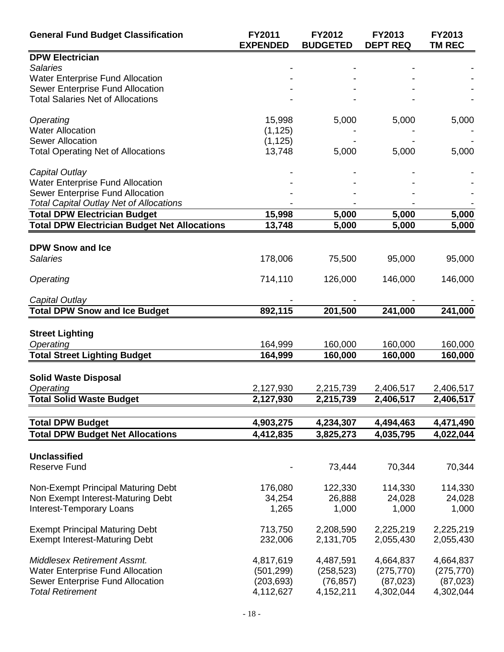| <b>General Fund Budget Classification</b>           | FY2011<br><b>EXPENDED</b> | FY2012<br><b>BUDGETED</b> | FY2013<br><b>DEPT REQ</b> | FY2013<br><b>TM REC</b> |
|-----------------------------------------------------|---------------------------|---------------------------|---------------------------|-------------------------|
| <b>DPW Electrician</b>                              |                           |                           |                           |                         |
| <b>Salaries</b>                                     |                           |                           |                           |                         |
| <b>Water Enterprise Fund Allocation</b>             |                           |                           |                           |                         |
| Sewer Enterprise Fund Allocation                    |                           |                           |                           |                         |
| <b>Total Salaries Net of Allocations</b>            |                           |                           |                           |                         |
| Operating                                           | 15,998                    | 5,000                     | 5,000                     | 5,000                   |
| <b>Water Allocation</b>                             | (1, 125)                  |                           |                           |                         |
| <b>Sewer Allocation</b>                             | (1, 125)                  |                           |                           |                         |
| <b>Total Operating Net of Allocations</b>           | 13,748                    | 5,000                     | 5,000                     | 5,000                   |
| Capital Outlay                                      |                           |                           |                           |                         |
| <b>Water Enterprise Fund Allocation</b>             |                           |                           |                           |                         |
| Sewer Enterprise Fund Allocation                    |                           |                           |                           |                         |
| <b>Total Capital Outlay Net of Allocations</b>      |                           |                           |                           |                         |
| <b>Total DPW Electrician Budget</b>                 | 15,998                    | 5,000                     | 5,000                     | 5,000                   |
| <b>Total DPW Electrician Budget Net Allocations</b> | 13,748                    | 5,000                     | 5,000                     | 5,000                   |
|                                                     |                           |                           |                           |                         |
| <b>DPW Snow and Ice</b>                             |                           |                           |                           |                         |
| <b>Salaries</b>                                     | 178,006                   | 75,500                    | 95,000                    | 95,000                  |
| Operating                                           | 714,110                   | 126,000                   | 146,000                   | 146,000                 |
| Capital Outlay                                      |                           |                           |                           |                         |
| <b>Total DPW Snow and Ice Budget</b>                | 892,115                   | 201,500                   | 241,000                   | 241,000                 |
|                                                     |                           |                           |                           |                         |
| <b>Street Lighting</b><br>Operating                 | 164,999                   | 160,000                   | 160,000                   |                         |
| <b>Total Street Lighting Budget</b>                 | 164,999                   | 160,000                   | 160,000                   | 160,000<br>160,000      |
|                                                     |                           |                           |                           |                         |
| <b>Solid Waste Disposal</b>                         |                           |                           |                           |                         |
| Operating                                           | 2,127,930                 | 2,215,739                 | 2,406,517                 | 2,406,517               |
| <b>Total Solid Waste Budget</b>                     | 2,127,930                 | 2,215,739                 | 2,406,517                 | 2,406,517               |
| <b>Total DPW Budget</b>                             | 4,903,275                 | 4,234,307                 | 4,494,463                 | 4,471,490               |
| <b>Total DPW Budget Net Allocations</b>             | 4,412,835                 | 3,825,273                 | 4,035,795                 | 4,022,044               |
|                                                     |                           |                           |                           |                         |
| <b>Unclassified</b>                                 |                           |                           |                           |                         |
| <b>Reserve Fund</b>                                 |                           | 73,444                    | 70,344                    | 70,344                  |
| Non-Exempt Principal Maturing Debt                  | 176,080                   | 122,330                   | 114,330                   | 114,330                 |
| Non Exempt Interest-Maturing Debt                   | 34,254                    | 26,888                    | 24,028                    | 24,028                  |
| <b>Interest-Temporary Loans</b>                     | 1,265                     | 1,000                     | 1,000                     | 1,000                   |
| <b>Exempt Principal Maturing Debt</b>               | 713,750                   | 2,208,590                 | 2,225,219                 | 2,225,219               |
| <b>Exempt Interest-Maturing Debt</b>                | 232,006                   | 2,131,705                 | 2,055,430                 | 2,055,430               |
| <b>Middlesex Retirement Assmt.</b>                  | 4,817,619                 | 4,487,591                 | 4,664,837                 | 4,664,837               |
| <b>Water Enterprise Fund Allocation</b>             | (501, 299)                | (258, 523)                | (275, 770)                | (275, 770)              |
| Sewer Enterprise Fund Allocation                    | (203, 693)                | (76, 857)                 | (87, 023)                 | (87, 023)               |
| <b>Total Retirement</b>                             | 4,112,627                 | 4,152,211                 | 4,302,044                 | 4,302,044               |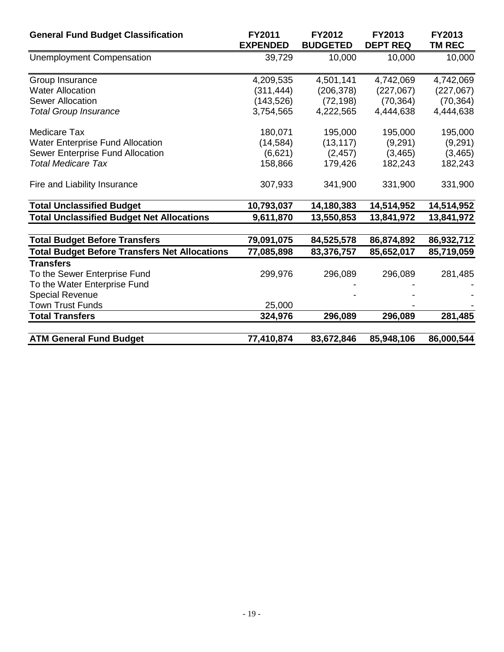| <b>General Fund Budget Classification</b>            | FY2011<br><b>EXPENDED</b> | FY2012<br><b>BUDGETED</b> | FY2013<br><b>DEPT REQ</b> | FY2013<br><b>TM REC</b> |
|------------------------------------------------------|---------------------------|---------------------------|---------------------------|-------------------------|
| <b>Unemployment Compensation</b>                     | 39,729                    | 10,000                    | 10,000                    | 10,000                  |
| Group Insurance                                      | 4,209,535                 | 4,501,141                 | 4,742,069                 | 4,742,069               |
| <b>Water Allocation</b>                              | (311, 444)                | (206, 378)                | (227,067)                 | (227,067)               |
| <b>Sewer Allocation</b>                              | (143, 526)                | (72, 198)                 | (70, 364)                 | (70, 364)               |
| <b>Total Group Insurance</b>                         | 3,754,565                 | 4,222,565                 | 4,444,638                 | 4,444,638               |
| <b>Medicare Tax</b>                                  | 180,071                   | 195,000                   | 195,000                   | 195,000                 |
| <b>Water Enterprise Fund Allocation</b>              | (14, 584)                 | (13, 117)                 | (9,291)                   | (9,291)                 |
| Sewer Enterprise Fund Allocation                     | (6,621)                   | (2, 457)                  | (3, 465)                  | (3, 465)                |
| <b>Total Medicare Tax</b>                            | 158,866                   | 179,426                   | 182,243                   | 182,243                 |
| Fire and Liability Insurance                         | 307,933                   | 341,900                   | 331,900                   | 331,900                 |
| <b>Total Unclassified Budget</b>                     | 10,793,037                | 14,180,383                | 14,514,952                | 14,514,952              |
| <b>Total Unclassified Budget Net Allocations</b>     | 9,611,870                 | 13,550,853                | 13,841,972                | 13,841,972              |
| <b>Total Budget Before Transfers</b>                 | 79,091,075                | 84,525,578                | 86,874,892                | 86,932,712              |
| <b>Total Budget Before Transfers Net Allocations</b> | 77,085,898                | 83,376,757                | 85,652,017                | 85,719,059              |
| <b>Transfers</b>                                     |                           |                           |                           |                         |
| To the Sewer Enterprise Fund                         | 299,976                   | 296,089                   | 296,089                   | 281,485                 |
| To the Water Enterprise Fund                         |                           |                           |                           |                         |
| <b>Special Revenue</b>                               |                           |                           |                           |                         |
| Town Trust Funds                                     | 25,000                    |                           |                           |                         |
| <b>Total Transfers</b>                               | 324,976                   | 296,089                   | 296,089                   | 281,485                 |
| <b>ATM General Fund Budget</b>                       | 77,410,874                | 83,672,846                | 85,948,106                | 86,000,544              |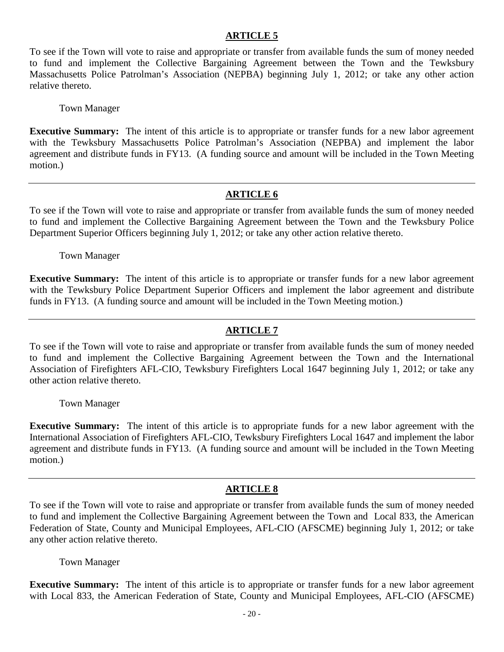To see if the Town will vote to raise and appropriate or transfer from available funds the sum of money needed to fund and implement the Collective Bargaining Agreement between the Town and the Tewksbury Massachusetts Police Patrolman's Association (NEPBA) beginning July 1, 2012; or take any other action relative thereto.

Town Manager

**Executive Summary:** The intent of this article is to appropriate or transfer funds for a new labor agreement with the Tewksbury Massachusetts Police Patrolman's Association (NEPBA) and implement the labor agreement and distribute funds in FY13. (A funding source and amount will be included in the Town Meeting motion.)

#### **ARTICLE 6**

To see if the Town will vote to raise and appropriate or transfer from available funds the sum of money needed to fund and implement the Collective Bargaining Agreement between the Town and the Tewksbury Police Department Superior Officers beginning July 1, 2012; or take any other action relative thereto.

Town Manager

**Executive Summary:** The intent of this article is to appropriate or transfer funds for a new labor agreement with the Tewksbury Police Department Superior Officers and implement the labor agreement and distribute funds in FY13. (A funding source and amount will be included in the Town Meeting motion.)

#### **ARTICLE 7**

To see if the Town will vote to raise and appropriate or transfer from available funds the sum of money needed to fund and implement the Collective Bargaining Agreement between the Town and the International Association of Firefighters AFL-CIO, Tewksbury Firefighters Local 1647 beginning July 1, 2012; or take any other action relative thereto.

Town Manager

**Executive Summary:** The intent of this article is to appropriate funds for a new labor agreement with the International Association of Firefighters AFL-CIO, Tewksbury Firefighters Local 1647 and implement the labor agreement and distribute funds in FY13. (A funding source and amount will be included in the Town Meeting motion.)

### **ARTICLE 8**

To see if the Town will vote to raise and appropriate or transfer from available funds the sum of money needed to fund and implement the Collective Bargaining Agreement between the Town and Local 833, the American Federation of State, County and Municipal Employees, AFL-CIO (AFSCME) beginning July 1, 2012; or take any other action relative thereto.

Town Manager

**Executive Summary:** The intent of this article is to appropriate or transfer funds for a new labor agreement with Local 833, the American Federation of State, County and Municipal Employees, AFL-CIO (AFSCME)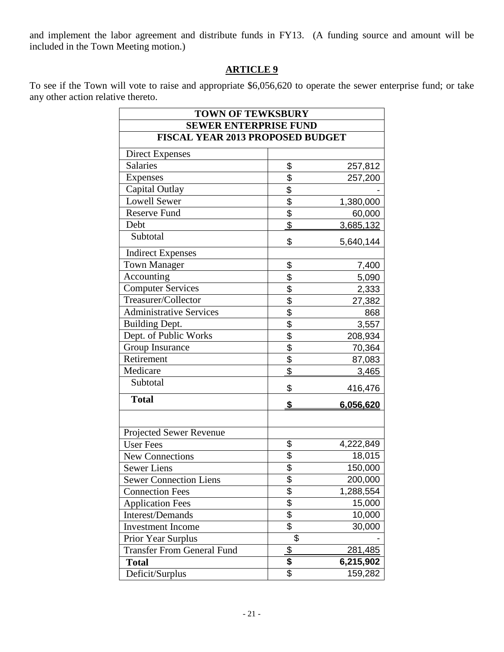and implement the labor agreement and distribute funds in FY13. (A funding source and amount will be included in the Town Meeting motion.)

# **ARTICLE 9**

To see if the Town will vote to raise and appropriate \$6,056,620 to operate the sewer enterprise fund; or take any other action relative thereto.

| <b>TOWN OF TEWKSBURY</b>                |                           |                |
|-----------------------------------------|---------------------------|----------------|
| <b>SEWER ENTERPRISE FUND</b>            |                           |                |
| <b>FISCAL YEAR 2013 PROPOSED BUDGET</b> |                           |                |
| <b>Direct Expenses</b>                  |                           |                |
| Salaries                                | \$                        | 257,812        |
| <b>Expenses</b>                         | \$                        | 257,200        |
| Capital Outlay                          | \$                        |                |
| <b>Lowell Sewer</b>                     | \$                        | 1,380,000      |
| Reserve Fund                            | $\overline{\mathfrak{s}}$ | 60,000         |
| Debt                                    | \$                        | 3,685,132      |
| Subtotal                                | \$                        | 5,640,144      |
| <b>Indirect Expenses</b>                |                           |                |
| <b>Town Manager</b>                     | \$                        | 7,400          |
| Accounting                              | $\overline{\$}$           | 5,090          |
| <b>Computer Services</b>                | $\overline{\$}$           | 2,333          |
| Treasurer/Collector                     |                           | 27,382         |
| <b>Administrative Services</b>          | $\frac{6}{9}$             | 868            |
| Building Dept.                          | \$                        | 3,557          |
| Dept. of Public Works                   | $\overline{\mathbf{S}}$   | 208,934        |
| Group Insurance                         | \$                        | 70,364         |
| Retirement                              | \$                        | 87,083         |
| Medicare                                | \$                        | 3,465          |
| Subtotal                                | \$                        | 416,476        |
| <b>Total</b>                            | \$                        | 6,056,620      |
|                                         |                           |                |
| <b>Projected Sewer Revenue</b>          |                           |                |
| <b>User Fees</b>                        | \$                        | 4,222,849      |
| <b>New Connections</b>                  | $\frac{6}{3}$             | 18,015         |
| <b>Sewer Liens</b>                      |                           | 150,000        |
| <b>Sewer Connection Liens</b>           | \$                        | 200,000        |
| <b>Connection Fees</b>                  | $\overline{\$}$           | 1,288,554      |
| <b>Application Fees</b>                 |                           | 15,000         |
| Interest/Demands                        | $\frac{6}{3}$             | 10,000         |
| <b>Investment Income</b>                | $\overline{\$}$           | 30,000         |
| Prior Year Surplus                      | \$                        |                |
| <b>Transfer From General Fund</b>       | $\frac{1}{2}$             | <u>281,485</u> |
| <b>Total</b>                            | \$                        | 6,215,902      |
| Deficit/Surplus                         | $\overline{\mathcal{S}}$  | 159,282        |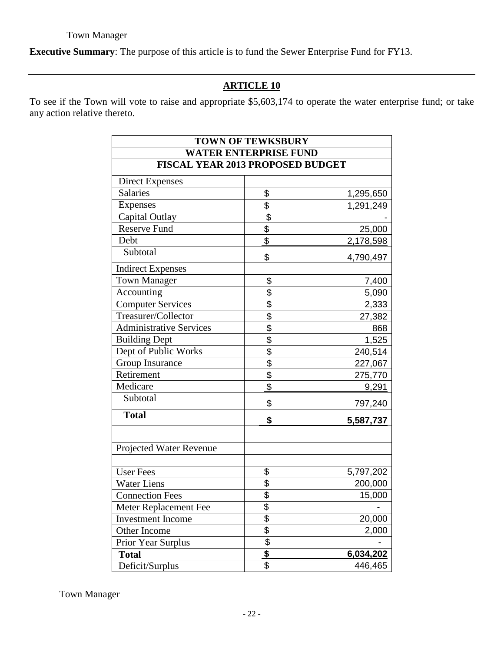**Executive Summary**: The purpose of this article is to fund the Sewer Enterprise Fund for FY13.

# **ARTICLE 10**

To see if the Town will vote to raise and appropriate \$5,603,174 to operate the water enterprise fund; or take any action relative thereto.

| <b>TOWN OF TEWKSBURY</b>                |                              |                  |
|-----------------------------------------|------------------------------|------------------|
|                                         | <b>WATER ENTERPRISE FUND</b> |                  |
| <b>FISCAL YEAR 2013 PROPOSED BUDGET</b> |                              |                  |
| <b>Direct Expenses</b>                  |                              |                  |
| <b>Salaries</b>                         | \$                           | 1,295,650        |
| Expenses                                | \$                           | 1,291,249        |
| Capital Outlay                          | \$                           |                  |
| <b>Reserve Fund</b>                     | $\overline{\$}$              | 25,000           |
| Debt                                    | \$                           | 2,178,598        |
| Subtotal                                | \$                           | 4,790,497        |
| <b>Indirect Expenses</b>                |                              |                  |
| <b>Town Manager</b>                     | \$                           | 7,400            |
| Accounting                              | \$                           | 5,090            |
| <b>Computer Services</b>                | \$                           | 2,333            |
| Treasurer/Collector                     | \$                           | 27,382           |
| <b>Administrative Services</b>          | $\frac{1}{2}$                | 868              |
| <b>Building Dept</b>                    | $\overline{\mathbf{S}}$      | 1,525            |
| Dept of Public Works                    | \$                           | 240,514          |
| Group Insurance                         | $\frac{6}{3}$                | 227,067          |
| Retirement                              |                              | 275,770          |
| Medicare                                | $\overline{\mathcal{S}}$     | 9,291            |
| Subtotal                                | \$                           | 797,240          |
| <b>Total</b>                            | \$                           | <u>5,587,737</u> |
|                                         |                              |                  |
| Projected Water Revenue                 |                              |                  |
| <b>User Fees</b>                        | \$                           | 5,797,202        |
| <b>Water Liens</b>                      | \$                           | 200,000          |
| <b>Connection Fees</b>                  | \$                           | 15,000           |
| Meter Replacement Fee                   | \$                           |                  |
| <b>Investment</b> Income                | $\overline{\mathcal{S}}$     | 20,000           |
| Other Income                            | \$                           | 2,000            |
| Prior Year Surplus                      | $\overline{\mathcal{G}}$     |                  |
| <b>Total</b>                            | \$                           | 6,034,202        |
| Deficit/Surplus                         | \$                           | 446,465          |

Town Manager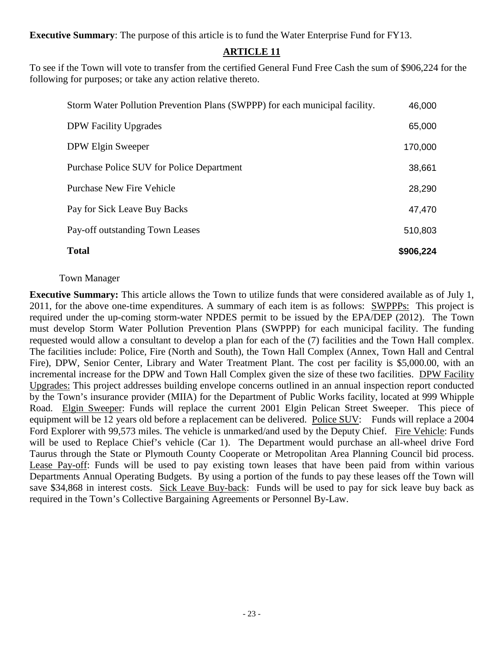**Executive Summary**: The purpose of this article is to fund the Water Enterprise Fund for FY13.

## **ARTICLE 11**

To see if the Town will vote to transfer from the certified General Fund Free Cash the sum of \$906,224 for the following for purposes; or take any action relative thereto.

| Storm Water Pollution Prevention Plans (SWPPP) for each municipal facility. | 46,000    |
|-----------------------------------------------------------------------------|-----------|
| <b>DPW Facility Upgrades</b>                                                | 65,000    |
| DPW Elgin Sweeper                                                           | 170,000   |
| Purchase Police SUV for Police Department                                   | 38,661    |
| <b>Purchase New Fire Vehicle</b>                                            | 28,290    |
| Pay for Sick Leave Buy Backs                                                | 47,470    |
| Pay-off outstanding Town Leases                                             | 510,803   |
| <b>Total</b>                                                                | \$906,224 |

#### Town Manager

**Executive Summary:** This article allows the Town to utilize funds that were considered available as of July 1, 2011, for the above one-time expenditures. A summary of each item is as follows: SWPPPs: This project is required under the up-coming storm-water NPDES permit to be issued by the EPA/DEP (2012). The Town must develop Storm Water Pollution Prevention Plans (SWPPP) for each municipal facility. The funding requested would allow a consultant to develop a plan for each of the (7) facilities and the Town Hall complex. The facilities include: Police, Fire (North and South), the Town Hall Complex (Annex, Town Hall and Central Fire), DPW, Senior Center, Library and Water Treatment Plant. The cost per facility is \$5,000.00, with an incremental increase for the DPW and Town Hall Complex given the size of these two facilities. DPW Facility Upgrades: This project addresses building envelope concerns outlined in an annual inspection report conducted by the Town's insurance provider (MIIA) for the Department of Public Works facility, located at 999 Whipple Road. Elgin Sweeper: Funds will replace the current 2001 Elgin Pelican Street Sweeper. This piece of equipment will be 12 years old before a replacement can be delivered. Police SUV: Funds will replace a 2004 Ford Explorer with 99,573 miles. The vehicle is unmarked/and used by the Deputy Chief. Fire Vehicle: Funds will be used to Replace Chief's vehicle (Car 1). The Department would purchase an all-wheel drive Ford Taurus through the State or Plymouth County Cooperate or Metropolitan Area Planning Council bid process. Lease Pay-off: Funds will be used to pay existing town leases that have been paid from within various Departments Annual Operating Budgets. By using a portion of the funds to pay these leases off the Town will save \$34,868 in interest costs. Sick Leave Buy-back: Funds will be used to pay for sick leave buy back as required in the Town's Collective Bargaining Agreements or Personnel By-Law.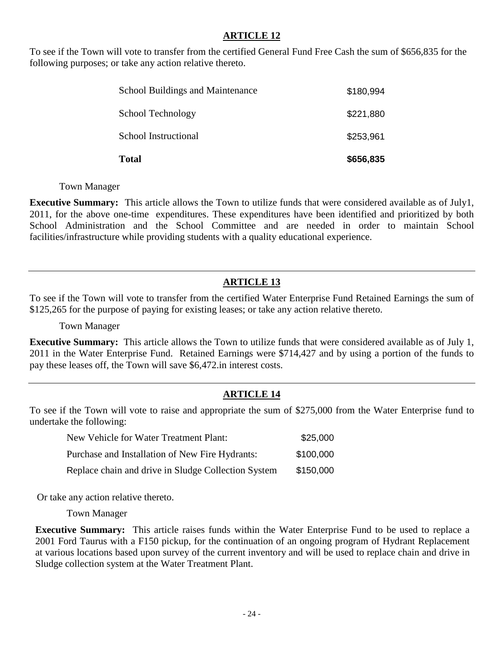To see if the Town will vote to transfer from the certified General Fund Free Cash the sum of \$656,835 for the following purposes; or take any action relative thereto.

| <b>Total</b>                            | \$656,835 |
|-----------------------------------------|-----------|
| School Instructional                    | \$253,961 |
| School Technology                       | \$221,880 |
| <b>School Buildings and Maintenance</b> | \$180,994 |

Town Manager

**Executive Summary:** This article allows the Town to utilize funds that were considered available as of July1, 2011, for the above one-time expenditures. These expenditures have been identified and prioritized by both School Administration and the School Committee and are needed in order to maintain School facilities/infrastructure while providing students with a quality educational experience.

# **ARTICLE 13**

To see if the Town will vote to transfer from the certified Water Enterprise Fund Retained Earnings the sum of \$125,265 for the purpose of paying for existing leases; or take any action relative thereto.

Town Manager

**Executive Summary:** This article allows the Town to utilize funds that were considered available as of July 1, 2011 in the Water Enterprise Fund. Retained Earnings were \$714,427 and by using a portion of the funds to pay these leases off, the Town will save \$6,472.in interest costs.

# **ARTICLE 14**

To see if the Town will vote to raise and appropriate the sum of \$275,000 from the Water Enterprise fund to undertake the following:

| New Vehicle for Water Treatment Plant:              | \$25,000  |
|-----------------------------------------------------|-----------|
| Purchase and Installation of New Fire Hydrants:     | \$100,000 |
| Replace chain and drive in Sludge Collection System | \$150,000 |

Or take any action relative thereto.

Town Manager

**Executive Summary:** This article raises funds within the Water Enterprise Fund to be used to replace a 2001 Ford Taurus with a F150 pickup, for the continuation of an ongoing program of Hydrant Replacement at various locations based upon survey of the current inventory and will be used to replace chain and drive in Sludge collection system at the Water Treatment Plant.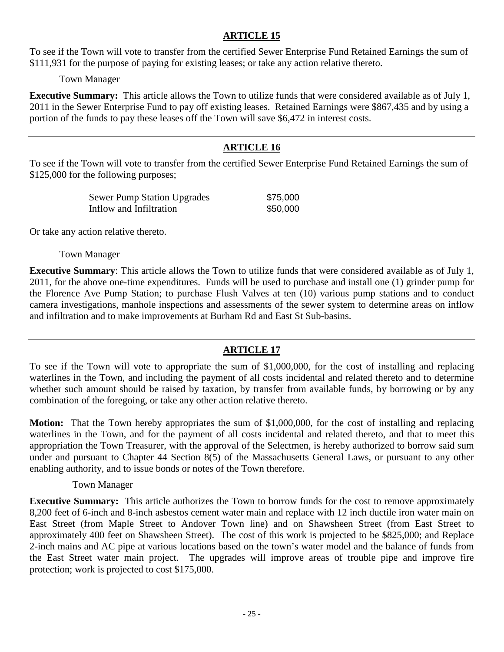To see if the Town will vote to transfer from the certified Sewer Enterprise Fund Retained Earnings the sum of \$111,931 for the purpose of paying for existing leases; or take any action relative thereto.

Town Manager

**Executive Summary:** This article allows the Town to utilize funds that were considered available as of July 1, 2011 in the Sewer Enterprise Fund to pay off existing leases. Retained Earnings were \$867,435 and by using a portion of the funds to pay these leases off the Town will save \$6,472 in interest costs.

# **ARTICLE 16**

To see if the Town will vote to transfer from the certified Sewer Enterprise Fund Retained Earnings the sum of \$125,000 for the following purposes;

| <b>Sewer Pump Station Upgrades</b> | \$75,000 |
|------------------------------------|----------|
| Inflow and Infiltration            | \$50,000 |

Or take any action relative thereto.

Town Manager

**Executive Summary**: This article allows the Town to utilize funds that were considered available as of July 1, 2011, for the above one-time expenditures. Funds will be used to purchase and install one (1) grinder pump for the Florence Ave Pump Station; to purchase Flush Valves at ten (10) various pump stations and to conduct camera investigations, manhole inspections and assessments of the sewer system to determine areas on inflow and infiltration and to make improvements at Burham Rd and East St Sub-basins.

# **ARTICLE 17**

To see if the Town will vote to appropriate the sum of \$1,000,000, for the cost of installing and replacing waterlines in the Town, and including the payment of all costs incidental and related thereto and to determine whether such amount should be raised by taxation, by transfer from available funds, by borrowing or by any combination of the foregoing, or take any other action relative thereto.

**Motion:** That the Town hereby appropriates the sum of \$1,000,000, for the cost of installing and replacing waterlines in the Town, and for the payment of all costs incidental and related thereto, and that to meet this appropriation the Town Treasurer, with the approval of the Selectmen, is hereby authorized to borrow said sum under and pursuant to Chapter 44 Section 8(5) of the Massachusetts General Laws, or pursuant to any other enabling authority, and to issue bonds or notes of the Town therefore.

Town Manager

**Executive Summary:** This article authorizes the Town to borrow funds for the cost to remove approximately 8,200 feet of 6-inch and 8-inch asbestos cement water main and replace with 12 inch ductile iron water main on East Street (from Maple Street to Andover Town line) and on Shawsheen Street (from East Street to approximately 400 feet on Shawsheen Street). The cost of this work is projected to be \$825,000; and Replace 2-inch mains and AC pipe at various locations based on the town's water model and the balance of funds from the East Street water main project. The upgrades will improve areas of trouble pipe and improve fire protection; work is projected to cost \$175,000.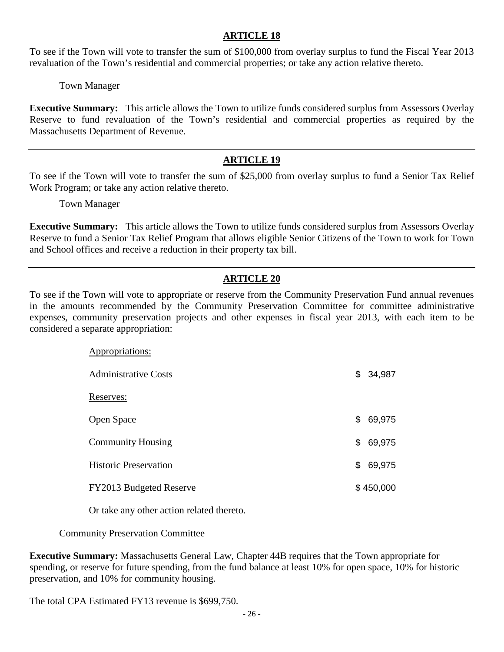To see if the Town will vote to transfer the sum of \$100,000 from overlay surplus to fund the Fiscal Year 2013 revaluation of the Town's residential and commercial properties; or take any action relative thereto.

Town Manager

**Executive Summary:** This article allows the Town to utilize funds considered surplus from Assessors Overlay Reserve to fund revaluation of the Town's residential and commercial properties as required by the Massachusetts Department of Revenue.

## **ARTICLE 19**

To see if the Town will vote to transfer the sum of \$25,000 from overlay surplus to fund a Senior Tax Relief Work Program; or take any action relative thereto.

Town Manager

**Executive Summary:** This article allows the Town to utilize funds considered surplus from Assessors Overlay Reserve to fund a Senior Tax Relief Program that allows eligible Senior Citizens of the Town to work for Town and School offices and receive a reduction in their property tax bill.

## **ARTICLE 20**

To see if the Town will vote to appropriate or reserve from the Community Preservation Fund annual revenues in the amounts recommended by the Community Preservation Committee for committee administrative expenses, community preservation projects and other expenses in fiscal year 2013, with each item to be considered a separate appropriation:

| Appropriations:              |              |
|------------------------------|--------------|
| <b>Administrative Costs</b>  | \$<br>34,987 |
| Reserves:                    |              |
| Open Space                   | \$<br>69,975 |
| <b>Community Housing</b>     | \$<br>69,975 |
| <b>Historic Preservation</b> | \$<br>69,975 |
| FY2013 Budgeted Reserve      | \$450,000    |

Or take any other action related thereto.

Community Preservation Committee

**Executive Summary:** Massachusetts General Law, Chapter 44B requires that the Town appropriate for spending, or reserve for future spending, from the fund balance at least 10% for open space, 10% for historic preservation, and 10% for community housing.

The total CPA Estimated FY13 revenue is \$699,750.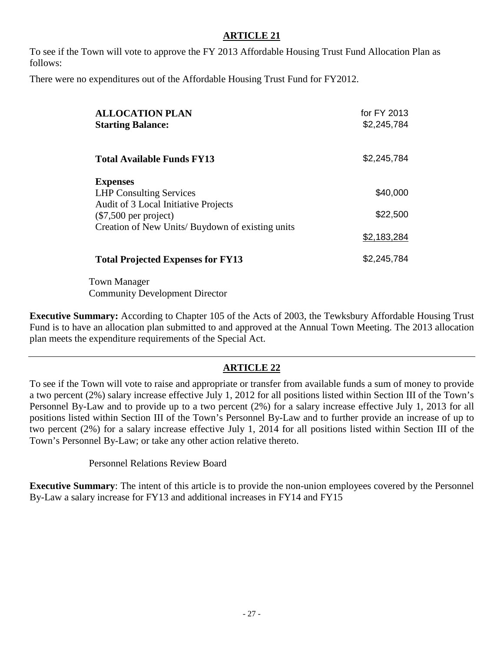To see if the Town will vote to approve the FY 2013 Affordable Housing Trust Fund Allocation Plan as follows:

There were no expenditures out of the Affordable Housing Trust Fund for FY2012.

| <b>ALLOCATION PLAN</b><br><b>Starting Balance:</b>              | for FY 2013<br>\$2,245,784 |
|-----------------------------------------------------------------|----------------------------|
| <b>Total Available Funds FY13</b>                               | \$2,245,784                |
| <b>Expenses</b>                                                 |                            |
| <b>LHP Consulting Services</b>                                  | \$40,000                   |
| Audit of 3 Local Initiative Projects<br>$(\$7,500$ per project) | \$22,500                   |
| Creation of New Units/Buydown of existing units                 | \$2,183,284                |
| <b>Total Projected Expenses for FY13</b>                        | \$2,245,784                |

Town Manager Community Development Director

**Executive Summary:** According to Chapter 105 of the Acts of 2003, the Tewksbury Affordable Housing Trust Fund is to have an allocation plan submitted to and approved at the Annual Town Meeting. The 2013 allocation plan meets the expenditure requirements of the Special Act.

# **ARTICLE 22**

To see if the Town will vote to raise and appropriate or transfer from available funds a sum of money to provide a two percent (2%) salary increase effective July 1, 2012 for all positions listed within Section III of the Town's Personnel By-Law and to provide up to a two percent (2%) for a salary increase effective July 1, 2013 for all positions listed within Section III of the Town's Personnel By-Law and to further provide an increase of up to two percent (2%) for a salary increase effective July 1, 2014 for all positions listed within Section III of the Town's Personnel By-Law; or take any other action relative thereto.

Personnel Relations Review Board

**Executive Summary**: The intent of this article is to provide the non-union employees covered by the Personnel By-Law a salary increase for FY13 and additional increases in FY14 and FY15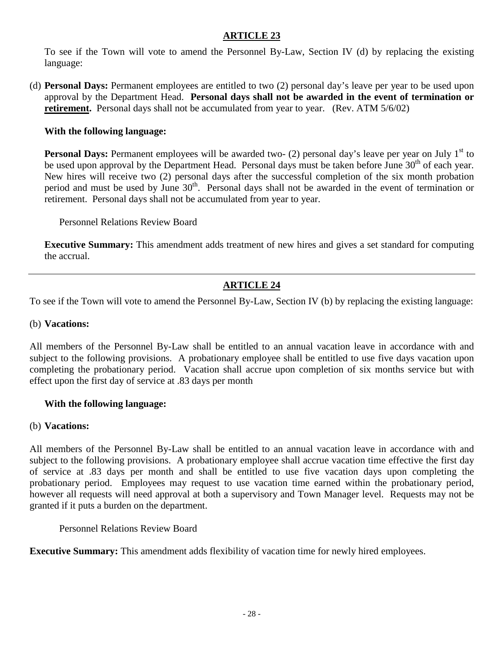To see if the Town will vote to amend the Personnel By-Law, Section IV (d) by replacing the existing language:

(d) **Personal Days:** Permanent employees are entitled to two (2) personal day's leave per year to be used upon approval by the Department Head. **Personal days shall not be awarded in the event of termination or retirement.** Personal days shall not be accumulated from year to year. (Rev. ATM 5/6/02)

#### **With the following language:**

**Personal Days:** Permanent employees will be awarded two- (2) personal day's leave per year on July 1<sup>st</sup> to be used upon approval by the Department Head. Personal days must be taken before June  $30<sup>th</sup>$  of each year. New hires will receive two (2) personal days after the successful completion of the six month probation period and must be used by June 30<sup>th</sup>. Personal days shall not be awarded in the event of termination or retirement. Personal days shall not be accumulated from year to year.

Personnel Relations Review Board

**Executive Summary:** This amendment adds treatment of new hires and gives a set standard for computing the accrual.

# **ARTICLE 24**

To see if the Town will vote to amend the Personnel By-Law, Section IV (b) by replacing the existing language:

#### (b) **Vacations:**

All members of the Personnel By-Law shall be entitled to an annual vacation leave in accordance with and subject to the following provisions. A probationary employee shall be entitled to use five days vacation upon completing the probationary period. Vacation shall accrue upon completion of six months service but with effect upon the first day of service at .83 days per month

### **With the following language:**

#### (b) **Vacations:**

All members of the Personnel By-Law shall be entitled to an annual vacation leave in accordance with and subject to the following provisions. A probationary employee shall accrue vacation time effective the first day of service at .83 days per month and shall be entitled to use five vacation days upon completing the probationary period. Employees may request to use vacation time earned within the probationary period, however all requests will need approval at both a supervisory and Town Manager level. Requests may not be granted if it puts a burden on the department.

Personnel Relations Review Board

**Executive Summary:** This amendment adds flexibility of vacation time for newly hired employees.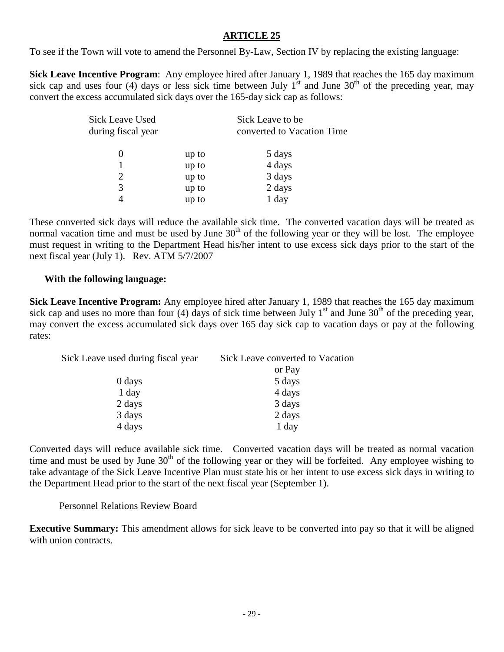To see if the Town will vote to amend the Personnel By-Law, Section IV by replacing the existing language:

**Sick Leave Incentive Program**: Any employee hired after January 1, 1989 that reaches the 165 day maximum sick cap and uses four (4) days or less sick time between July 1<sup>st</sup> and June  $30<sup>th</sup>$  of the preceding year, may convert the excess accumulated sick days over the 165-day sick cap as follows:

| Sick Leave Used<br>during fiscal year |       | Sick Leave to be.<br>converted to Vacation Time |
|---------------------------------------|-------|-------------------------------------------------|
|                                       | up to | 5 days                                          |
|                                       | up to | 4 days                                          |
| 2                                     | up to | 3 days                                          |
| 3                                     | up to | 2 days                                          |
|                                       | up to | 1 day                                           |
|                                       |       |                                                 |

These converted sick days will reduce the available sick time. The converted vacation days will be treated as normal vacation time and must be used by June  $30<sup>th</sup>$  of the following year or they will be lost. The employee must request in writing to the Department Head his/her intent to use excess sick days prior to the start of the next fiscal year (July 1). Rev. ATM 5/7/2007

#### **With the following language:**

**Sick Leave Incentive Program:** Any employee hired after January 1, 1989 that reaches the 165 day maximum sick cap and uses no more than four (4) days of sick time between July 1<sup>st</sup> and June 30<sup>th</sup> of the preceding year, may convert the excess accumulated sick days over 165 day sick cap to vacation days or pay at the following rates:

| Sick Leave used during fiscal year | Sick Leave converted to Vacation |  |  |
|------------------------------------|----------------------------------|--|--|
|                                    | or Pay                           |  |  |
| 0 days                             | 5 days                           |  |  |
| 1 day                              | 4 days                           |  |  |
| 2 days                             | 3 days                           |  |  |
| 3 days                             | 2 days                           |  |  |
| 4 days                             | 1 day                            |  |  |

Converted days will reduce available sick time. Converted vacation days will be treated as normal vacation time and must be used by June  $30<sup>th</sup>$  of the following year or they will be forfeited. Any employee wishing to take advantage of the Sick Leave Incentive Plan must state his or her intent to use excess sick days in writing to the Department Head prior to the start of the next fiscal year (September 1).

Personnel Relations Review Board

**Executive Summary:** This amendment allows for sick leave to be converted into pay so that it will be aligned with union contracts.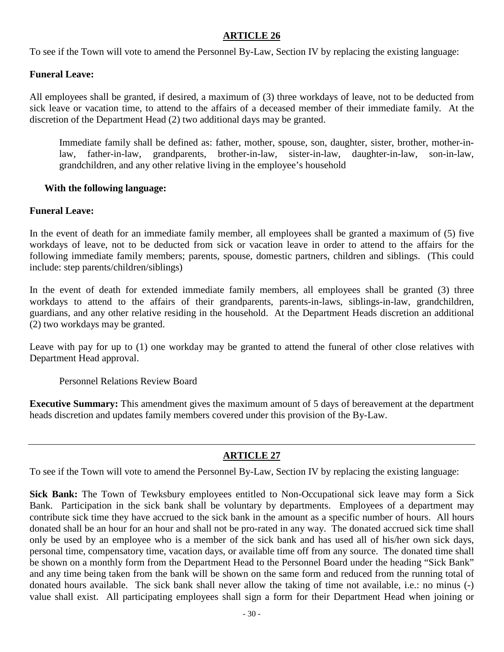To see if the Town will vote to amend the Personnel By-Law, Section IV by replacing the existing language:

#### **Funeral Leave:**

All employees shall be granted, if desired, a maximum of (3) three workdays of leave, not to be deducted from sick leave or vacation time, to attend to the affairs of a deceased member of their immediate family. At the discretion of the Department Head (2) two additional days may be granted.

Immediate family shall be defined as: father, mother, spouse, son, daughter, sister, brother, mother-inlaw, father-in-law, grandparents, brother-in-law, sister-in-law, daughter-in-law, son-in-law, grandchildren, and any other relative living in the employee's household

#### **With the following language:**

#### **Funeral Leave:**

In the event of death for an immediate family member, all employees shall be granted a maximum of (5) five workdays of leave, not to be deducted from sick or vacation leave in order to attend to the affairs for the following immediate family members; parents, spouse, domestic partners, children and siblings. (This could include: step parents/children/siblings)

In the event of death for extended immediate family members, all employees shall be granted (3) three workdays to attend to the affairs of their grandparents, parents-in-laws, siblings-in-law, grandchildren, guardians, and any other relative residing in the household. At the Department Heads discretion an additional (2) two workdays may be granted.

Leave with pay for up to (1) one workday may be granted to attend the funeral of other close relatives with Department Head approval.

Personnel Relations Review Board

**Executive Summary:** This amendment gives the maximum amount of 5 days of bereavement at the department heads discretion and updates family members covered under this provision of the By-Law.

# **ARTICLE 27**

To see if the Town will vote to amend the Personnel By-Law, Section IV by replacing the existing language:

**Sick Bank:** The Town of Tewksbury employees entitled to Non-Occupational sick leave may form a Sick Bank. Participation in the sick bank shall be voluntary by departments. Employees of a department may contribute sick time they have accrued to the sick bank in the amount as a specific number of hours. All hours donated shall be an hour for an hour and shall not be pro-rated in any way. The donated accrued sick time shall only be used by an employee who is a member of the sick bank and has used all of his/her own sick days, personal time, compensatory time, vacation days, or available time off from any source. The donated time shall be shown on a monthly form from the Department Head to the Personnel Board under the heading "Sick Bank" and any time being taken from the bank will be shown on the same form and reduced from the running total of donated hours available. The sick bank shall never allow the taking of time not available, i.e.: no minus (-) value shall exist. All participating employees shall sign a form for their Department Head when joining or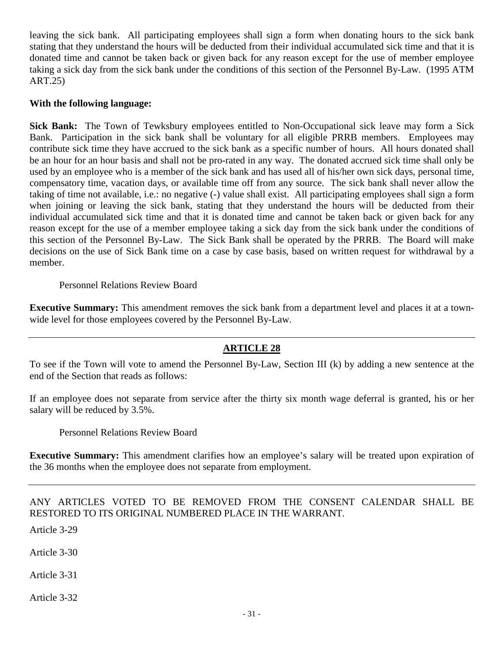leaving the sick bank. All participating employees shall sign a form when donating hours to the sick bank stating that they understand the hours will be deducted from their individual accumulated sick time and that it is donated time and cannot be taken back or given back for any reason except for the use of member employee taking a sick day from the sick bank under the conditions of this section of the Personnel By-Law. (1995 ATM ART.25)

#### **With the following language:**

**Sick Bank:** The Town of Tewksbury employees entitled to Non-Occupational sick leave may form a Sick Bank. Participation in the sick bank shall be voluntary for all eligible PRRB members. Employees may contribute sick time they have accrued to the sick bank as a specific number of hours. All hours donated shall be an hour for an hour basis and shall not be pro-rated in any way. The donated accrued sick time shall only be used by an employee who is a member of the sick bank and has used all of his/her own sick days, personal time, compensatory time, vacation days, or available time off from any source. The sick bank shall never allow the taking of time not available, i.e.: no negative (-) value shall exist. All participating employees shall sign a form when joining or leaving the sick bank, stating that they understand the hours will be deducted from their individual accumulated sick time and that it is donated time and cannot be taken back or given back for any reason except for the use of a member employee taking a sick day from the sick bank under the conditions of this section of the Personnel By-Law. The Sick Bank shall be operated by the PRRB. The Board will make decisions on the use of Sick Bank time on a case by case basis, based on written request for withdrawal by a member.

Personnel Relations Review Board

**Executive Summary:** This amendment removes the sick bank from a department level and places it at a townwide level for those employees covered by the Personnel By-Law.

# **ARTICLE 28**

To see if the Town will vote to amend the Personnel By-Law, Section III (k) by adding a new sentence at the end of the Section that reads as follows:

If an employee does not separate from service after the thirty six month wage deferral is granted, his or her salary will be reduced by 3.5%.

Personnel Relations Review Board

**Executive Summary:** This amendment clarifies how an employee's salary will be treated upon expiration of the 36 months when the employee does not separate from employment.

# ANY ARTICLES VOTED TO BE REMOVED FROM THE CONSENT CALENDAR SHALL BE RESTORED TO ITS ORIGINAL NUMBERED PLACE IN THE WARRANT.

Article 3-29

Article 3-30

Article 3-31

Article 3-32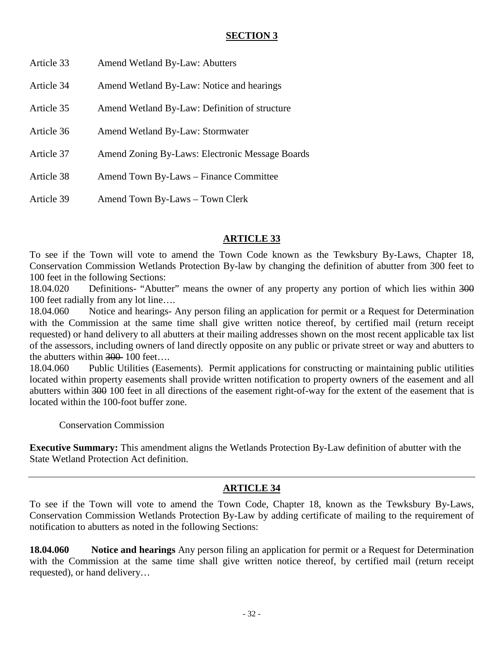### **SECTION 3**

| Article 33 | Amend Wetland By-Law: Abutters                  |
|------------|-------------------------------------------------|
| Article 34 | Amend Wetland By-Law: Notice and hearings       |
| Article 35 | Amend Wetland By-Law: Definition of structure   |
| Article 36 | Amend Wetland By-Law: Stormwater                |
| Article 37 | Amend Zoning By-Laws: Electronic Message Boards |
| Article 38 | Amend Town By-Laws – Finance Committee          |
| Article 39 | Amend Town By-Laws – Town Clerk                 |

### **ARTICLE 33**

To see if the Town will vote to amend the Town Code known as the Tewksbury By-Laws, Chapter 18, Conservation Commission Wetlands Protection By-law by changing the definition of abutter from 300 feet to 100 feet in the following Sections:

18.04.020 Definitions- "Abutter" means the owner of any property any portion of which lies within 300 100 feet radially from any lot line….

18.04.060 Notice and hearings- Any person filing an application for permit or a Request for Determination with the Commission at the same time shall give written notice thereof, by certified mail (return receipt requested) or hand delivery to all abutters at their mailing addresses shown on the most recent applicable tax list of the assessors, including owners of land directly opposite on any public or private street or way and abutters to the abutters within 300 100 feet...

18.04.060 Public Utilities (Easements). Permit applications for constructing or maintaining public utilities located within property easements shall provide written notification to property owners of the easement and all abutters within 300 100 feet in all directions of the easement right-of-way for the extent of the easement that is located within the 100-foot buffer zone.

Conservation Commission

**Executive Summary:** This amendment aligns the Wetlands Protection By-Law definition of abutter with the State Wetland Protection Act definition.

# **ARTICLE 34**

To see if the Town will vote to amend the Town Code, Chapter 18, known as the Tewksbury By-Laws, Conservation Commission Wetlands Protection By-Law by adding certificate of mailing to the requirement of notification to abutters as noted in the following Sections:

**18.04.060 Notice and hearings** Any person filing an application for permit or a Request for Determination with the Commission at the same time shall give written notice thereof, by certified mail (return receipt requested), or hand delivery…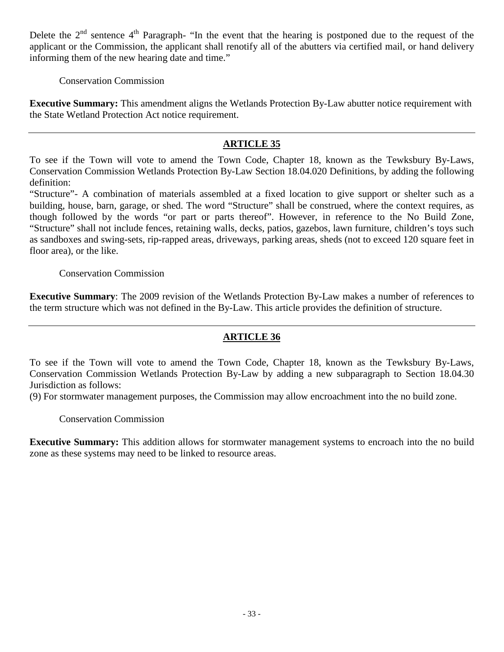Delete the  $2<sup>nd</sup>$  sentence  $4<sup>th</sup>$  Paragraph- "In the event that the hearing is postponed due to the request of the applicant or the Commission, the applicant shall renotify all of the abutters via certified mail, or hand delivery informing them of the new hearing date and time."

Conservation Commission

**Executive Summary:** This amendment aligns the Wetlands Protection By-Law abutter notice requirement with the State Wetland Protection Act notice requirement.

# **ARTICLE 35**

To see if the Town will vote to amend the Town Code, Chapter 18, known as the Tewksbury By-Laws, Conservation Commission Wetlands Protection By-Law Section 18.04.020 Definitions, by adding the following definition:

"Structure"- A combination of materials assembled at a fixed location to give support or shelter such as a building, house, barn, garage, or shed. The word "Structure" shall be construed, where the context requires, as though followed by the words "or part or parts thereof". However, in reference to the No Build Zone, "Structure" shall not include fences, retaining walls, decks, patios, gazebos, lawn furniture, children's toys such as sandboxes and swing-sets, rip-rapped areas, driveways, parking areas, sheds (not to exceed 120 square feet in floor area), or the like.

Conservation Commission

**Executive Summary**: The 2009 revision of the Wetlands Protection By-Law makes a number of references to the term structure which was not defined in the By-Law. This article provides the definition of structure.

# **ARTICLE 36**

To see if the Town will vote to amend the Town Code, Chapter 18, known as the Tewksbury By-Laws, Conservation Commission Wetlands Protection By-Law by adding a new subparagraph to Section 18.04.30 Jurisdiction as follows:

(9) For stormwater management purposes, the Commission may allow encroachment into the no build zone.

Conservation Commission

**Executive Summary:** This addition allows for stormwater management systems to encroach into the no build zone as these systems may need to be linked to resource areas.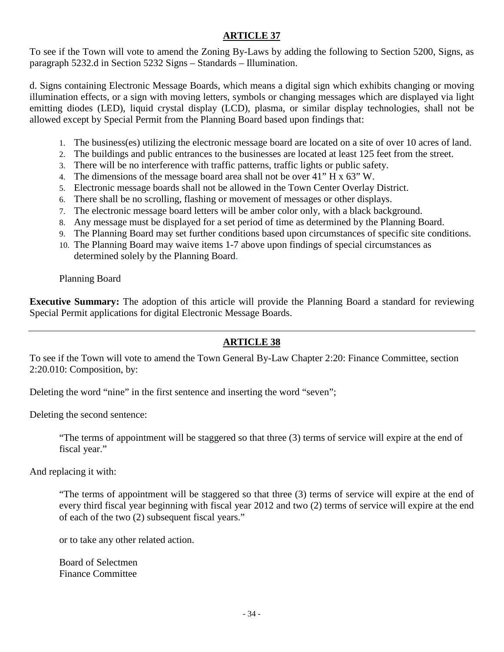To see if the Town will vote to amend the Zoning By-Laws by adding the following to Section 5200, Signs, as paragraph 5232.d in Section 5232 Signs – Standards – Illumination.

d. Signs containing Electronic Message Boards, which means a digital sign which exhibits changing or moving illumination effects, or a sign with moving letters, symbols or changing messages which are displayed via light emitting diodes (LED), liquid crystal display (LCD), plasma, or similar display technologies, shall not be allowed except by Special Permit from the Planning Board based upon findings that:

- 1. The business(es) utilizing the electronic message board are located on a site of over 10 acres of land.
- 2. The buildings and public entrances to the businesses are located at least 125 feet from the street.
- 3. There will be no interference with traffic patterns, traffic lights or public safety.
- 4. The dimensions of the message board area shall not be over 41" H x 63" W.
- 5. Electronic message boards shall not be allowed in the Town Center Overlay District.
- 6. There shall be no scrolling, flashing or movement of messages or other displays.
- 7. The electronic message board letters will be amber color only, with a black background.
- 8. Any message must be displayed for a set period of time as determined by the Planning Board.
- 9. The Planning Board may set further conditions based upon circumstances of specific site conditions.
- 10. The Planning Board may waive items 1-7 above upon findings of special circumstances as determined solely by the Planning Board.

#### Planning Board

**Executive Summary:** The adoption of this article will provide the Planning Board a standard for reviewing Special Permit applications for digital Electronic Message Boards.

# **ARTICLE 38**

To see if the Town will vote to amend the Town General By-Law Chapter 2:20: Finance Committee, section 2:20.010: Composition, by:

Deleting the word "nine" in the first sentence and inserting the word "seven";

Deleting the second sentence:

"The terms of appointment will be staggered so that three (3) terms of service will expire at the end of fiscal year."

And replacing it with:

"The terms of appointment will be staggered so that three (3) terms of service will expire at the end of every third fiscal year beginning with fiscal year 2012 and two (2) terms of service will expire at the end of each of the two (2) subsequent fiscal years."

or to take any other related action.

Board of Selectmen Finance Committee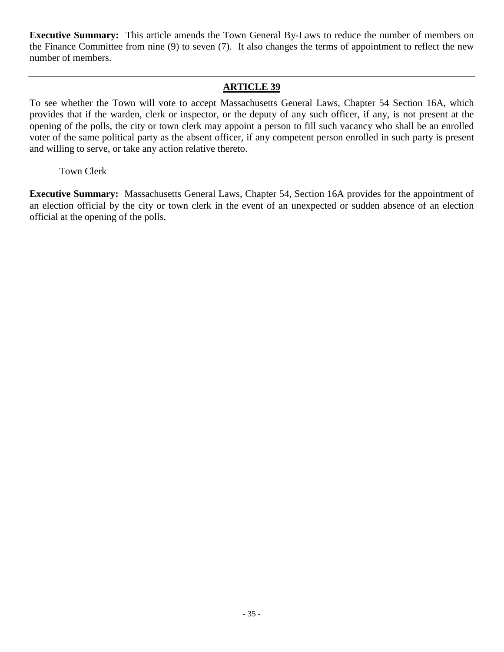**Executive Summary:** This article amends the Town General By-Laws to reduce the number of members on the Finance Committee from nine (9) to seven (7). It also changes the terms of appointment to reflect the new number of members.

# **ARTICLE 39**

To see whether the Town will vote to accept Massachusetts General Laws, Chapter 54 Section 16A, which provides that if the warden, clerk or inspector, or the deputy of any such officer, if any, is not present at the opening of the polls, the city or town clerk may appoint a person to fill such vacancy who shall be an enrolled voter of the same political party as the absent officer, if any competent person enrolled in such party is present and willing to serve, or take any action relative thereto.

### Town Clerk

**Executive Summary:** Massachusetts General Laws, Chapter 54, Section 16A provides for the appointment of an election official by the city or town clerk in the event of an unexpected or sudden absence of an election official at the opening of the polls.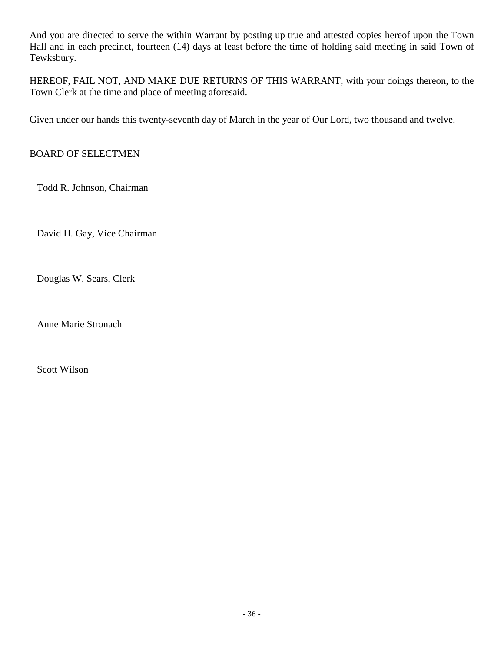And you are directed to serve the within Warrant by posting up true and attested copies hereof upon the Town Hall and in each precinct, fourteen (14) days at least before the time of holding said meeting in said Town of Tewksbury.

HEREOF, FAIL NOT, AND MAKE DUE RETURNS OF THIS WARRANT, with your doings thereon, to the Town Clerk at the time and place of meeting aforesaid.

Given under our hands this twenty-seventh day of March in the year of Our Lord, two thousand and twelve.

## BOARD OF SELECTMEN

Todd R. Johnson, Chairman

David H. Gay, Vice Chairman

Douglas W. Sears, Clerk

Anne Marie Stronach

Scott Wilson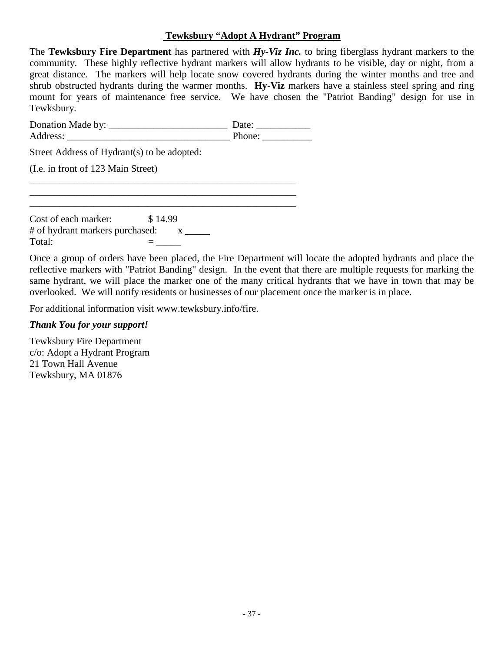#### **Tewksbury "Adopt A Hydrant" Program**

The **Tewksbury Fire Department** has partnered with *Hy-Viz Inc.* to bring fiberglass hydrant markers to the community. These highly reflective hydrant markers will allow hydrants to be visible, day or night, from a great distance. The markers will help locate snow covered hydrants during the winter months and tree and shrub obstructed hydrants during the warmer months. **Hy-Viz** markers have a stainless steel spring and ring mount for years of maintenance free service. We have chosen the "Patriot Banding" design for use in Tewksbury.

Donation Made by: \_\_\_\_\_\_\_\_\_\_\_\_\_\_\_\_\_\_\_\_\_\_\_\_ Date: \_\_\_\_\_\_\_\_\_\_\_ Address: \_\_\_\_\_\_\_\_\_\_\_\_\_\_\_\_\_\_\_\_\_\_\_\_\_\_\_\_\_\_\_\_\_ Phone: \_\_\_\_\_\_\_\_\_\_

\_\_\_\_\_\_\_\_\_\_\_\_\_\_\_\_\_\_\_\_\_\_\_\_\_\_\_\_\_\_\_\_\_\_\_\_\_\_\_\_\_\_\_\_\_\_\_\_\_\_\_\_\_\_

\_\_\_\_\_\_\_\_\_\_\_\_\_\_\_\_\_\_\_\_\_\_\_\_\_\_\_\_\_\_\_\_\_\_\_\_\_\_\_\_\_\_\_\_\_\_\_\_\_\_\_\_\_\_  $\frac{1}{2}$  ,  $\frac{1}{2}$  ,  $\frac{1}{2}$  ,  $\frac{1}{2}$  ,  $\frac{1}{2}$  ,  $\frac{1}{2}$  ,  $\frac{1}{2}$  ,  $\frac{1}{2}$  ,  $\frac{1}{2}$  ,  $\frac{1}{2}$  ,  $\frac{1}{2}$  ,  $\frac{1}{2}$  ,  $\frac{1}{2}$  ,  $\frac{1}{2}$  ,  $\frac{1}{2}$  ,  $\frac{1}{2}$  ,  $\frac{1}{2}$  ,  $\frac{1}{2}$  ,  $\frac{1$ 

Street Address of Hydrant(s) to be adopted:

|  |  |  |  |  |  | (I.e. in front of 123 Main Street) |
|--|--|--|--|--|--|------------------------------------|
|--|--|--|--|--|--|------------------------------------|

Cost of each marker: \$14.99 # of hydrant markers purchased: x \_\_\_\_\_ Total:  $=$ 

Once a group of orders have been placed, the Fire Department will locate the adopted hydrants and place the reflective markers with "Patriot Banding" design. In the event that there are multiple requests for marking the same hydrant, we will place the marker one of the many critical hydrants that we have in town that may be overlooked. We will notify residents or businesses of our placement once the marker is in place.

For additional information visit www.tewksbury.info/fire.

#### *Thank You for your support!*

Tewksbury Fire Department c/o: Adopt a Hydrant Program 21 Town Hall Avenue Tewksbury, MA 01876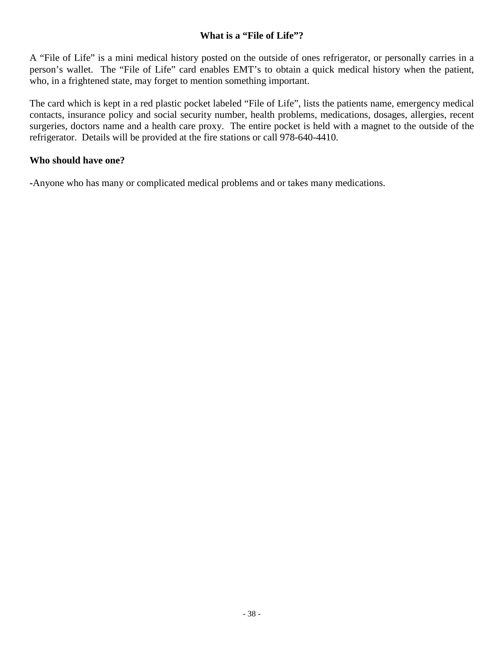## **What is a "File of Life"?**

A "File of Life" is a mini medical history posted on the outside of ones refrigerator, or personally carries in a person's wallet. The "File of Life" card enables EMT's to obtain a quick medical history when the patient, who, in a frightened state, may forget to mention something important.

The card which is kept in a red plastic pocket labeled "File of Life", lists the patients name, emergency medical contacts, insurance policy and social security number, health problems, medications, dosages, allergies, recent surgeries, doctors name and a health care proxy. The entire pocket is held with a magnet to the outside of the refrigerator. Details will be provided at the fire stations or call 978-640-4410.

#### **Who should have one?**

**-**Anyone who has many or complicated medical problems and or takes many medications.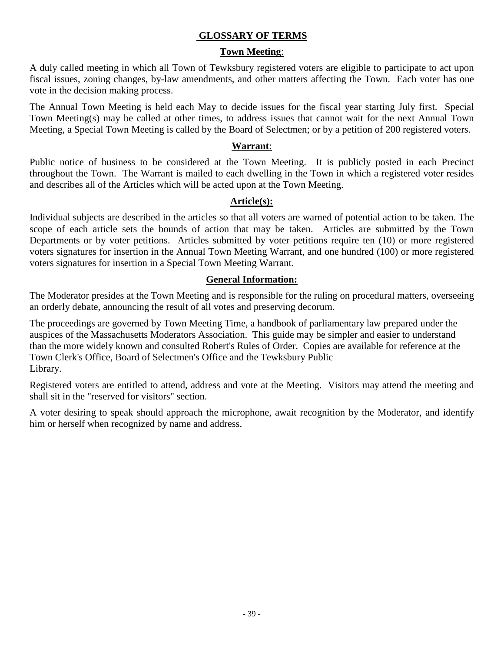### **GLOSSARY OF TERMS**

#### **Town Meeting**:

A duly called meeting in which all Town of Tewksbury registered voters are eligible to participate to act upon fiscal issues, zoning changes, by-law amendments, and other matters affecting the Town. Each voter has one vote in the decision making process.

The Annual Town Meeting is held each May to decide issues for the fiscal year starting July first. Special Town Meeting(s) may be called at other times, to address issues that cannot wait for the next Annual Town Meeting, a Special Town Meeting is called by the Board of Selectmen; or by a petition of 200 registered voters.

#### **Warrant**:

Public notice of business to be considered at the Town Meeting. It is publicly posted in each Precinct throughout the Town. The Warrant is mailed to each dwelling in the Town in which a registered voter resides and describes all of the Articles which will be acted upon at the Town Meeting.

### **Article(s):**

Individual subjects are described in the articles so that all voters are warned of potential action to be taken. The scope of each article sets the bounds of action that may be taken. Articles are submitted by the Town Departments or by voter petitions. Articles submitted by voter petitions require ten (10) or more registered voters signatures for insertion in the Annual Town Meeting Warrant, and one hundred (100) or more registered voters signatures for insertion in a Special Town Meeting Warrant.

#### **General Information:**

The Moderator presides at the Town Meeting and is responsible for the ruling on procedural matters, overseeing an orderly debate, announcing the result of all votes and preserving decorum.

The proceedings are governed by Town Meeting Time, a handbook of parliamentary law prepared under the auspices of the Massachusetts Moderators Association. This guide may be simpler and easier to understand than the more widely known and consulted Robert's Rules of Order. Copies are available for reference at the Town Clerk's Office, Board of Selectmen's Office and the Tewksbury Public Library.

Registered voters are entitled to attend, address and vote at the Meeting. Visitors may attend the meeting and shall sit in the "reserved for visitors" section.

A voter desiring to speak should approach the microphone, await recognition by the Moderator, and identify him or herself when recognized by name and address.